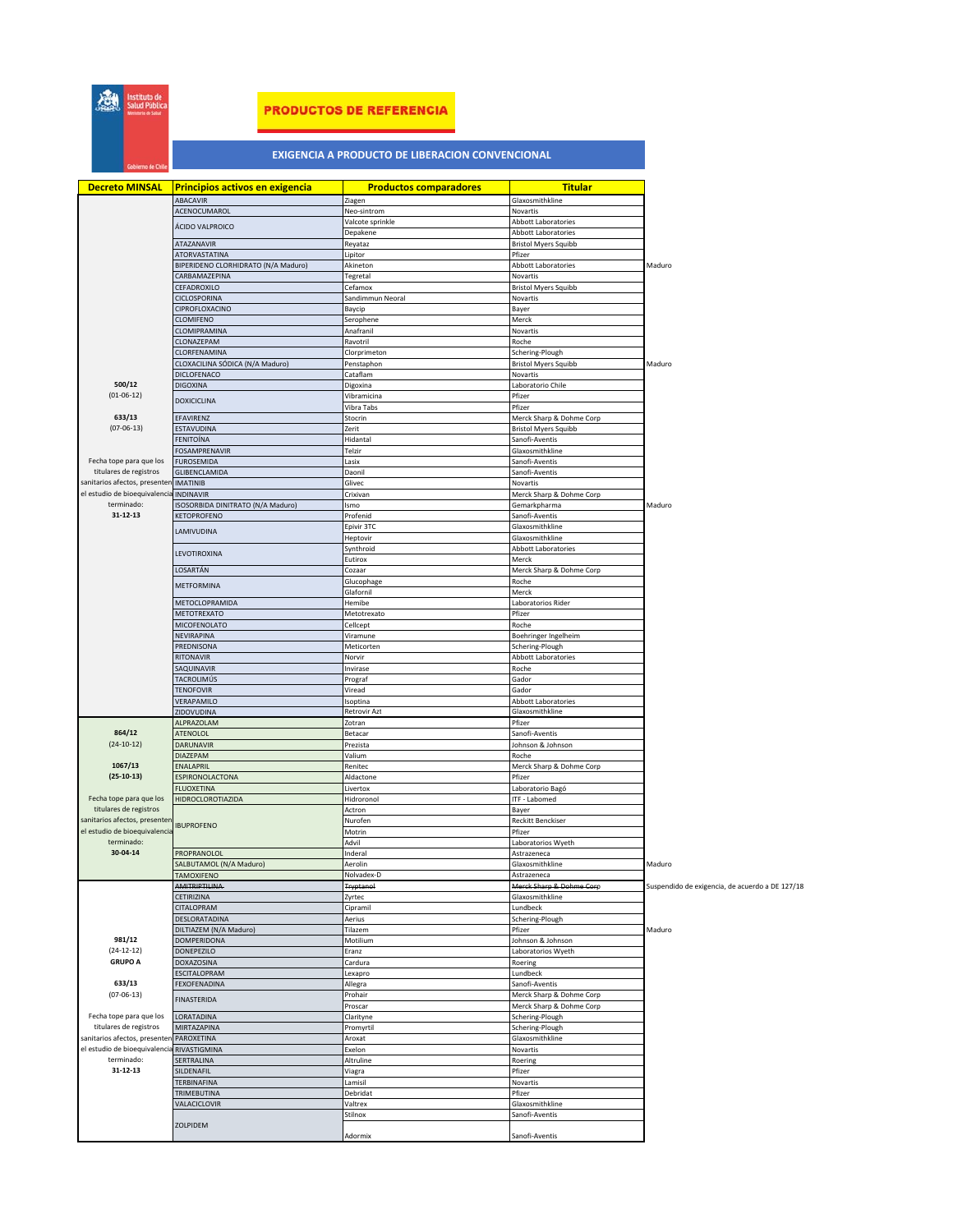剧

## **PRODUCTOS DE REFERENCIA**

## **EXIGENCIA A PRODUCTO DE LIBERACION CONVENCIONAL**

| <b>Decreto MINSAL</b>         | <b>Principios activos en exigencia</b>   | <b>Productos comparadores</b> | <b>Titular</b>                                |                                                 |
|-------------------------------|------------------------------------------|-------------------------------|-----------------------------------------------|-------------------------------------------------|
|                               | ABACAVIR                                 |                               | Glaxosmithkline                               |                                                 |
|                               |                                          | Ziagen                        |                                               |                                                 |
|                               | ACENOCUMAROL                             | Neo-sintrom                   | Novartis<br>Abbott Laboratories               |                                                 |
|                               | ÁCIDO VALPROICO                          | Valcote sprinkle              |                                               |                                                 |
|                               |                                          | Depakene                      | Abbott Laboratories                           |                                                 |
|                               | ATAZANAVIR<br>ATORVASTATINA              | Reyataz                       | <b>Bristol Myers Squibb</b>                   |                                                 |
|                               | BIPERIDENO CLORHIDRATO (N/A Maduro)      | Lipitor                       | Pfizer                                        |                                                 |
|                               |                                          | Akineton                      | <b>Abbott Laboratories</b>                    | Maduro                                          |
|                               | CARBAMAZEPINA                            | Tegretal                      | Novartis                                      |                                                 |
|                               | CEFADROXILO                              | Cefamox                       | <b>Bristol Myers Squibb</b>                   |                                                 |
|                               | CICLOSPORINA                             | Sandimmun Neoral              | Novartis                                      |                                                 |
|                               | CIPROFLOXACINO                           | Baycip                        | Bayer                                         |                                                 |
|                               | CLOMIFENO                                | Serophene                     | Merck                                         |                                                 |
|                               | CLOMIPRAMINA                             | Anafranil                     | Novartis                                      |                                                 |
|                               | CLONAZEPAM                               | Ravotril                      | Roche                                         |                                                 |
|                               | CLORFENAMINA                             | Clorprimeton                  | Schering-Plough                               |                                                 |
|                               | CLOXACILINA SÓDICA (N/A Maduro)          | Penstaphon                    | <b>Bristol Myers Squibb</b>                   | Maduro                                          |
|                               | DICLOFENACO                              | Cataflam                      | Novartis                                      |                                                 |
| 500/12                        | <b>DIGOXINA</b>                          | Digoxina                      | Laboratorio Chile                             |                                                 |
| $(01-06-12)$                  | <b>DOXICICLINA</b>                       | Vibramicina                   | Pfizer                                        |                                                 |
|                               |                                          | Vibra Tabs                    | Pfizer                                        |                                                 |
| 633/13                        | EFAVIRENZ                                | Stocrin                       | Merck Sharp & Dohme Corp                      |                                                 |
| $(07 - 06 - 13)$              | ESTAVUDINA                               | Zerit                         | <b>Bristol Myers Squibb</b>                   |                                                 |
|                               | ENITOÍNA                                 | Hidantal                      | Sanofi-Aventis                                |                                                 |
|                               | OSAMPRENAVIR                             | Telzir                        | Glaxosmithkline                               |                                                 |
| Fecha tope para que los       | UROSEMIDA                                | Lasix                         | Sanofi-Aventis                                |                                                 |
| titulares de registros        | GLIBENCLAMIDA                            | Daonil                        | Sanofi-Aventis                                |                                                 |
| sanitarios afectos, presenten | <b>IMATINIB</b>                          | Glivec                        | Novartis                                      |                                                 |
| el estudio de bioequivalencia | <b>INDINAVIR</b>                         | Crixivan                      | Merck Sharp & Dohme Corp                      |                                                 |
| terminado:                    | <b>ISOSORBIDA DINITRATO (N/A Maduro)</b> | Ismo                          | Gemarkpharma                                  | Maduro                                          |
| $31 - 12 - 13$                | <b>ETOPROFENO</b>                        | Profenid                      | Sanofi-Aventis                                |                                                 |
|                               |                                          |                               | Glaxosmithkline                               |                                                 |
|                               | LAMIVUDINA                               | Epivir 3TC                    |                                               |                                                 |
|                               |                                          | Heptovir<br>Synthroid         | Glaxosmithkline<br><b>Abbott Laboratories</b> |                                                 |
|                               | LEVOTIROXINA                             |                               |                                               |                                                 |
|                               |                                          | Eutirox                       | Merck                                         |                                                 |
|                               | LOSARTÁN                                 | Cozaar                        | Merck Sharp & Dohme Corp                      |                                                 |
|                               | METFORMINA                               | Glucophage                    | Roche                                         |                                                 |
|                               |                                          | Glafornil                     | Merck                                         |                                                 |
|                               | METOCLOPRAMIDA                           | Hemibe                        | Laboratorios Rider                            |                                                 |
|                               | METOTREXATO                              | Metotrexato                   | Pfizer                                        |                                                 |
|                               | MICOFENOLATO                             | Cellcept                      | Roche                                         |                                                 |
|                               | NEVIRAPINA                               | Viramune                      | Boehringer Ingelheim                          |                                                 |
|                               | PREDNISONA                               | Meticorten                    | Schering-Plough                               |                                                 |
|                               | RITONAVIR                                | Norvir                        | Abbott Laboratories                           |                                                 |
|                               | <b>AQUINAVIR</b>                         | Invirase                      | Roche                                         |                                                 |
|                               | TACROLIMÚS                               | Prograf                       | Gador                                         |                                                 |
|                               | <b>TENOFOVIR</b>                         | Viread                        | Gador                                         |                                                 |
|                               | VERAPAMILO                               | Isoptina                      | Abbott Laboratories                           |                                                 |
|                               | ZIDOVUDINA                               | Retrovir Az                   | Glaxosmithkline                               |                                                 |
|                               | ALPRAZOLAM                               | Zotran                        | Pfizer                                        |                                                 |
| 864/12                        | ATENOLOL                                 | Betacar                       | Sanofi-Aventis                                |                                                 |
| $(24-10-12)$                  | <b>DARUNAVIR</b>                         | Prezista                      | Johnson & Johnson                             |                                                 |
|                               | <b>DIAZEPAM</b>                          | Valium                        | Roche                                         |                                                 |
| 1067/13                       | ENALAPRIL                                | Renitec                       | Merck Sharp & Dohme Corp                      |                                                 |
| $(25-10-13)$                  | <b>ESPIRONOLACTONA</b>                   | Aldactone                     | Pfizer                                        |                                                 |
|                               |                                          |                               |                                               |                                                 |
| Fecha tope para que los       | FLUOXETINA                               | Livertox                      | Laboratorio Bagó                              |                                                 |
|                               | <b>IIDROCLOROTIAZIDA</b>                 | Hidroronol                    | ITF - Labomed                                 |                                                 |
| titulares de registros        |                                          | Actron                        | Bayer                                         |                                                 |
| sanitarios afectos, presenten | <b>IBUPROFENO</b>                        | Nurofen                       | Reckitt Benckiser                             |                                                 |
| el estudio de bioequivalencia |                                          | Motrin                        | Pfizer                                        |                                                 |
| terminado:                    |                                          | Advil                         | Laboratorios Wyeth                            |                                                 |
| 30-04-14                      | PROPRANOLOL                              | Inderal                       | Astrazeneca                                   |                                                 |
|                               | SALBUTAMOL (N/A Maduro)                  | Aerolin                       | Glaxosmithkline                               | Maduro                                          |
|                               | TAMOXIFENO                               | Nolvadex-D                    | Astrazeneca                                   |                                                 |
|                               | AMITRIPTILINA                            | Tryptanol                     | Merck Sharp & Dohme Corp                      | Suspendido de exigencia, de acuerdo a DE 127/18 |
|                               | CETIRIZINA                               | Zyrtec                        | Glaxosmithkline                               |                                                 |
|                               | CITALOPRAM                               | Cipramil                      | Lundbeck                                      |                                                 |
|                               | DESLORATADINA                            | Aerius                        | Schering-Plough                               |                                                 |
|                               | DILTIAZEM (N/A Maduro)                   | Tilazem                       | Pfizer                                        | Maduro                                          |
| 981/12                        | DOMPERIDONA                              | Motilium                      | Johnson & Johnson                             |                                                 |
| $(24-12-12)$                  | DONEPEZILO                               | Eranz                         | Laboratorios Wyeth                            |                                                 |
| <b>GRUPO A</b>                | DOXAZOSINA                               | Cardura                       | Roering                                       |                                                 |
|                               | <b>SCITALOPRAM</b>                       | Lexapro                       | Lundbeck                                      |                                                 |
| 633/13                        | <b>EXOFENADINA</b>                       | Allegra                       | Sanofi-Aventis                                |                                                 |
| $(07 - 06 - 13)$              |                                          | Prohair                       | Merck Sharp & Dohme Corp                      |                                                 |
|                               | <b>FINASTERIDA</b>                       | Proscar                       | Merck Sharp & Dohme Corp                      |                                                 |
| Fecha tope para que los       | LORATADINA                               | Clarityne                     | Schering-Plough                               |                                                 |
| titulares de registros        | MIRTAZAPINA                              | Promyrtil                     | Schering-Plough                               |                                                 |
| sanitarios afectos, presenter | PAROXETINA                               |                               | Glaxosmithkline                               |                                                 |
|                               |                                          | Aroxat                        |                                               |                                                 |
| el estudio de bioequivalencia | RIVASTIGMINA                             | Exelon                        | Novartis                                      |                                                 |
| terminado:                    | SERTRALINA                               | Altruline                     | Roering                                       |                                                 |
| $31 - 12 - 13$                | <b>SILDENAFIL</b>                        | Viagra                        | Pfizer                                        |                                                 |
|                               | <b><i>TERBINAFINA</i></b>                | Lamisil                       | Novartis                                      |                                                 |
|                               | <b>TRIMEBUTINA</b>                       | Debridat                      | Pfizer                                        |                                                 |
|                               | <b>/ALACICLOVIR</b>                      | Valtrex                       | Glaxosmithkline                               |                                                 |
|                               |                                          | Stilnox                       | Sanofi-Aventis                                |                                                 |
|                               | ZOLPIDEM                                 |                               |                                               |                                                 |
|                               |                                          | Adormix                       | Sanofi-Aventis                                |                                                 |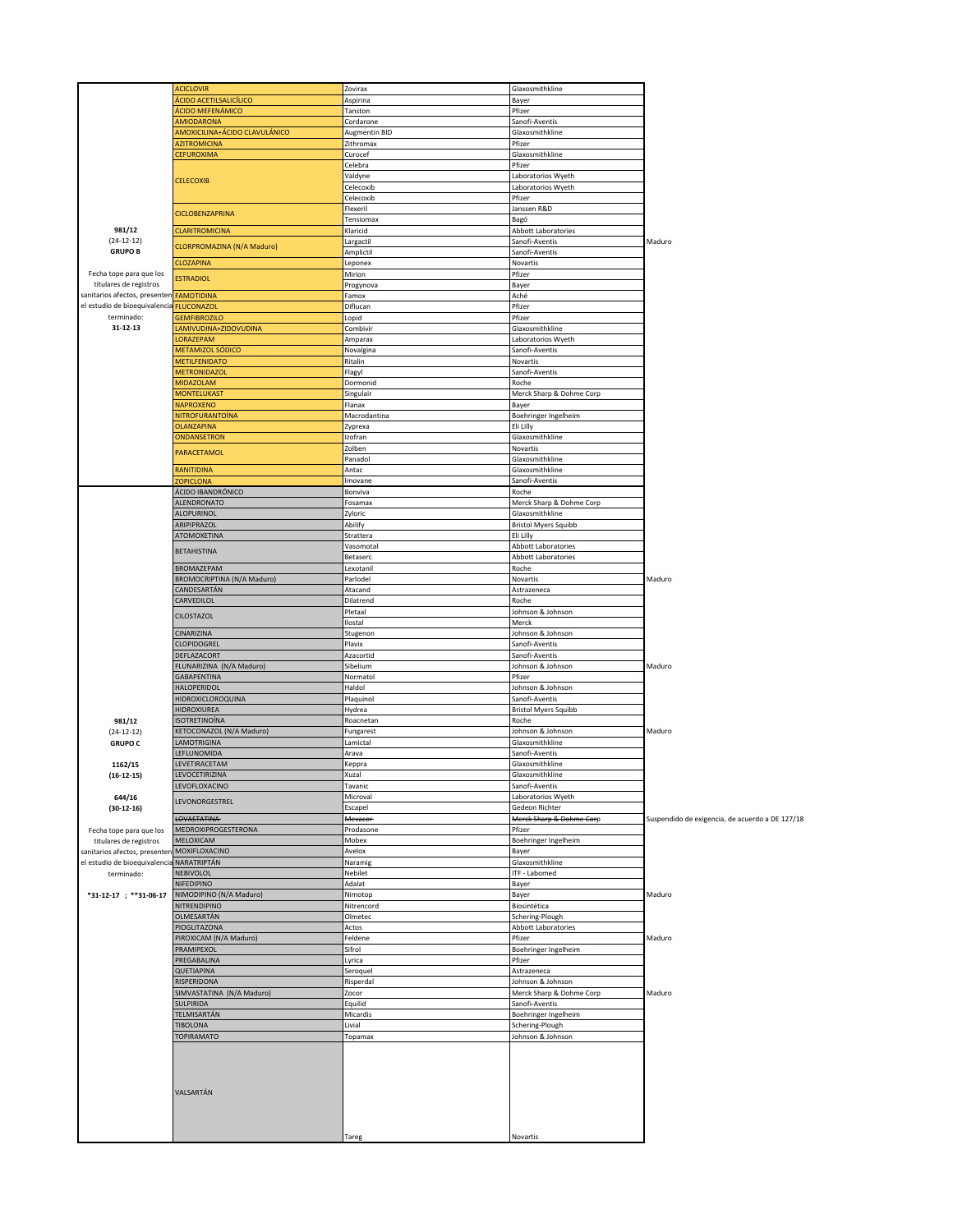|                                          | <b>ACICLOVIR</b>              | Zovirax       | Glaxosmithkline             |                                                 |
|------------------------------------------|-------------------------------|---------------|-----------------------------|-------------------------------------------------|
|                                          | ÁCIDO ACETILSALICÍLICO        | Aspirina      | Bayer                       |                                                 |
|                                          | ÁCIDO MEFENÁMICO              |               | Pfizer                      |                                                 |
|                                          | <b>AMIODARONA</b>             | Tanston       |                             |                                                 |
|                                          |                               | Cordarone     | Sanofi-Aventis              |                                                 |
|                                          | AMOXICILINA+ÁCIDO CLAVULÁNICO | Augmentin BID | Glaxosmithkline             |                                                 |
|                                          | <b>AZITROMICINA</b>           | Zithromax     | Pfizer                      |                                                 |
|                                          | <b>CEFUROXIMA</b>             | Curocef       | Glaxosmithkline             |                                                 |
|                                          |                               | Celebra       | Pfizer                      |                                                 |
|                                          |                               | Valdyne       | Laboratorios Wyeth          |                                                 |
|                                          | <b>CELECOXIB</b>              | Celecoxib     | Laboratorios Wyeth          |                                                 |
|                                          |                               | Celecoxib     | Pfizer                      |                                                 |
|                                          |                               |               |                             |                                                 |
|                                          | <b>CICLOBENZAPRINA</b>        | Flexeril      | Janssen R&D                 |                                                 |
|                                          |                               | Tensiomax     | Bagó                        |                                                 |
| 981/12                                   | <b>CLARITROMICINA</b>         | Klaricid      | Abbott Laboratories         |                                                 |
| $(24-12-12)$                             |                               | Largactil     | Sanofi-Aventis              | Maduro                                          |
| <b>GRUPO B</b>                           | CLORPROMAZINA (N/A Maduro)    | Amplictil     | Sanofi-Aventis              |                                                 |
|                                          | <b>CLOZAPINA</b>              | Leponex       | Novartis                    |                                                 |
| Fecha tope para que los                  |                               | Mirion        | Pfizer                      |                                                 |
| titulares de registros                   | <b>ESTRADIOL</b>              |               | Bayer                       |                                                 |
|                                          |                               | Progynova     |                             |                                                 |
| sanitarios afectos, presenten            | <b>FAMOTIDINA</b>             | Famox         | Aché                        |                                                 |
| el estudio de bioequivalencia FLUCONAZOL |                               | Diflucan      | Pfizer                      |                                                 |
| terminado:                               | <b>GEMFIBROZILO</b>           | Lopid         | Pfizer                      |                                                 |
| 31-12-13                                 | LAMIVUDINA+ZIDOVUDINA         | Combivir      | Glaxosmithkline             |                                                 |
|                                          | LORAZEPAM                     | Amparax       | Laboratorios Wyeth          |                                                 |
|                                          | METAMIZOL SÓDICO              | Novalgina     | Sanofi-Aventis              |                                                 |
|                                          | <b>METILFENIDATO</b>          |               |                             |                                                 |
|                                          |                               | Ritalin       | Novartis                    |                                                 |
|                                          | <b>METRONIDAZOL</b>           | Flagyl        | Sanofi-Aventis              |                                                 |
|                                          | MIDAZOLAM                     | Dormonid      | Roche                       |                                                 |
|                                          | <b>MONTELUKAST</b>            | Singulair     | Merck Sharp & Dohme Corp    |                                                 |
|                                          | <b>NAPROXENO</b>              | Flanax        | Baver                       |                                                 |
|                                          | <b>NITROFURANTOÍNA</b>        | Macrodantina  | Boehringer Ingelheim        |                                                 |
|                                          | <b>OLANZAPINA</b>             |               | Eli Lilly                   |                                                 |
|                                          |                               | Zyprexa       |                             |                                                 |
|                                          | ONDANSETRON                   | Izofran       | Glaxosmithkline             |                                                 |
|                                          | PARACETAMOL                   | Zolben        | Novartis                    |                                                 |
|                                          |                               | Panadol       | Glaxosmithkline             |                                                 |
|                                          | <b>RANITIDINA</b>             | Antac         | Glaxosmithkline             |                                                 |
|                                          | <b>ZOPICLONA</b>              | Imovane       | Sanofi-Aventis              |                                                 |
|                                          | ÁCIDO IBANDRÓNICO             | Bonviva       | Roche                       |                                                 |
|                                          | ALENDRONATO                   |               |                             |                                                 |
|                                          |                               | Fosamax       | Merck Sharp & Dohme Corp    |                                                 |
|                                          | ALOPURINOL                    | Zyloric       | Glaxosmithkline             |                                                 |
|                                          | ARIPIPRAZOL                   | Abilify       | <b>Bristol Myers Squibb</b> |                                                 |
|                                          | ATOMOXETINA                   | Strattera     | Eli Lilly                   |                                                 |
|                                          |                               | Vasomotal     | Abbott Laboratories         |                                                 |
|                                          | <b>BETAHISTINA</b>            | Betaserc      | Abbott Laboratories         |                                                 |
|                                          | BROMAZEPAM                    |               | Roche                       |                                                 |
|                                          |                               | Lexotanil     |                             |                                                 |
|                                          | BROMOCRIPTINA (N/A Maduro)    | Parlodel      | Novartis                    | Maduro                                          |
|                                          | CANDESARTÁN                   | Atacand       | Astrazeneca                 |                                                 |
|                                          | CARVEDILOL                    | Dilatrend     | Roche                       |                                                 |
|                                          |                               | Pletaal       | Johnson & Johnson           |                                                 |
|                                          | CILOSTAZOL                    | Ilostal       | Merck                       |                                                 |
|                                          | CINARIZINA                    | Stugenon      | Johnson & Johnson           |                                                 |
|                                          |                               |               |                             |                                                 |
|                                          | CLOPIDOGREL                   | Plavix        | Sanofi-Aventis              |                                                 |
|                                          | DEFLAZACORT                   | Azacortid     | Sanofi-Aventis              |                                                 |
|                                          | FLUNARIZINA (N/A Maduro)      | Sibelium      | Johnson & Johnson           | Maduro                                          |
|                                          | <b>GABAPENTINA</b>            | Normatol      | Pfizer                      |                                                 |
|                                          | <b>HALOPERIDOL</b>            | Haldol        | Johnson & Johnson           |                                                 |
|                                          | HIDROXICLOROQUINA             | Plaquinol     | Sanofi-Aventis              |                                                 |
|                                          |                               |               | <b>Bristol Myers Squibb</b> |                                                 |
|                                          | HIDROXIUREA                   | Hydrea        |                             |                                                 |
| 981/12                                   | <b>ISOTRETINOÍNA</b>          | Roacnetan     | Roche                       |                                                 |
| $(24-12-12)$                             | KETOCONAZOL (N/A Maduro)      | Fungarest     | Johnson & Johnson           | Maduro                                          |
| <b>GRUPO C</b>                           | LAMOTRIGINA                   | Lamictal      | Glaxosmithkline             |                                                 |
|                                          | LEFLUNOMIDA                   | Arava         | Sanofi-Aventis              |                                                 |
| 1162/15                                  | LEVETIRACETAM                 | Keppra        | Glaxosmithkline             |                                                 |
|                                          | LEVOCETIRIZINA                | Xuzal         | Glaxosmithkline             |                                                 |
| $(16-12-15)$                             |                               |               |                             |                                                 |
|                                          | LEVOFLOXACINO                 | Tavanic       | Sanofi-Aventis              |                                                 |
| 644/16                                   | LEVONORGESTREL                | Microval      | Laboratorios Wyeth          |                                                 |
| $(30-12-16)$                             |                               | Escapel       | Gedeon Richter              |                                                 |
|                                          | LOVASTATINA                   | Mevacor       | Merck Sharp & Dohme Corp    | Suspendido de exigencia, de acuerdo a DE 127/18 |
| Fecha tope para que los                  |                               |               |                             |                                                 |
|                                          | MEDROXIPROGESTERONA           | Prodasone     | Pfizer                      |                                                 |
|                                          | MELOXICAM                     | Mobex         | Boehringer Ingelheim        |                                                 |
| titulares de registros                   |                               |               |                             |                                                 |
| sanitarios afectos, presenten            | MOXIFLOXACINO                 | Avelox        | Bayer                       |                                                 |
| el estudio de bioequivalencia            | NARATRIPTÁN                   | Naramig       | Glaxosmithkline             |                                                 |
| terminado:                               | NEBIVOLOL                     | Nebilet       | ITF - Labomed               |                                                 |
|                                          | NIFEDIPINO                    | Adalat        | Bayer                       |                                                 |
| $*31-12-17$ ; $*31-06-17$                | NIMODIPINO (N/A Maduro)       | Nimotop       | Bayer                       | Maduro                                          |
|                                          | NITRENDIPINO                  | Nitrencord    | Biosintética                |                                                 |
|                                          | OLMESARTÁN                    | Olmetec       | Schering-Plough             |                                                 |
|                                          |                               |               | Abbott Laboratories         |                                                 |
|                                          | PIOGLITAZONA                  | Actos         |                             |                                                 |
|                                          | PIROXICAM (N/A Maduro)        | Feldene       | Pfizer                      | Maduro                                          |
|                                          | PRAMIPEXOL                    | Sifrol        | Boehringer Ingelheim        |                                                 |
|                                          | PREGABALINA                   | Lyrica        | Pfizer                      |                                                 |
|                                          | QUETIAPINA                    | Seroquel      | Astrazeneca                 |                                                 |
|                                          | RISPERIDONA                   | Risperdal     | Johnson & Johnson           |                                                 |
|                                          |                               |               |                             |                                                 |
|                                          | SIMVASTATINA (N/A Maduro)     | Zocor         | Merck Sharp & Dohme Corp    | Maduro                                          |
|                                          | SULPIRIDA                     | Equilid       | Sanofi-Aventis              |                                                 |
|                                          | TELMISARTÁN                   | Micardis      | Boehringer Ingelheim        |                                                 |
|                                          | TIBOLONA                      | Livial        | Schering-Plough             |                                                 |
|                                          | <b>TOPIRAMATO</b>             | Topamax       | Johnson & Johnson           |                                                 |
|                                          |                               |               |                             |                                                 |
|                                          |                               |               |                             |                                                 |
|                                          |                               |               |                             |                                                 |
|                                          |                               |               |                             |                                                 |
|                                          |                               |               |                             |                                                 |
|                                          | VALSARTÁN                     |               |                             |                                                 |
|                                          |                               |               |                             |                                                 |
|                                          |                               |               |                             |                                                 |
|                                          |                               |               |                             |                                                 |
|                                          |                               | Tareg         | Novartis                    |                                                 |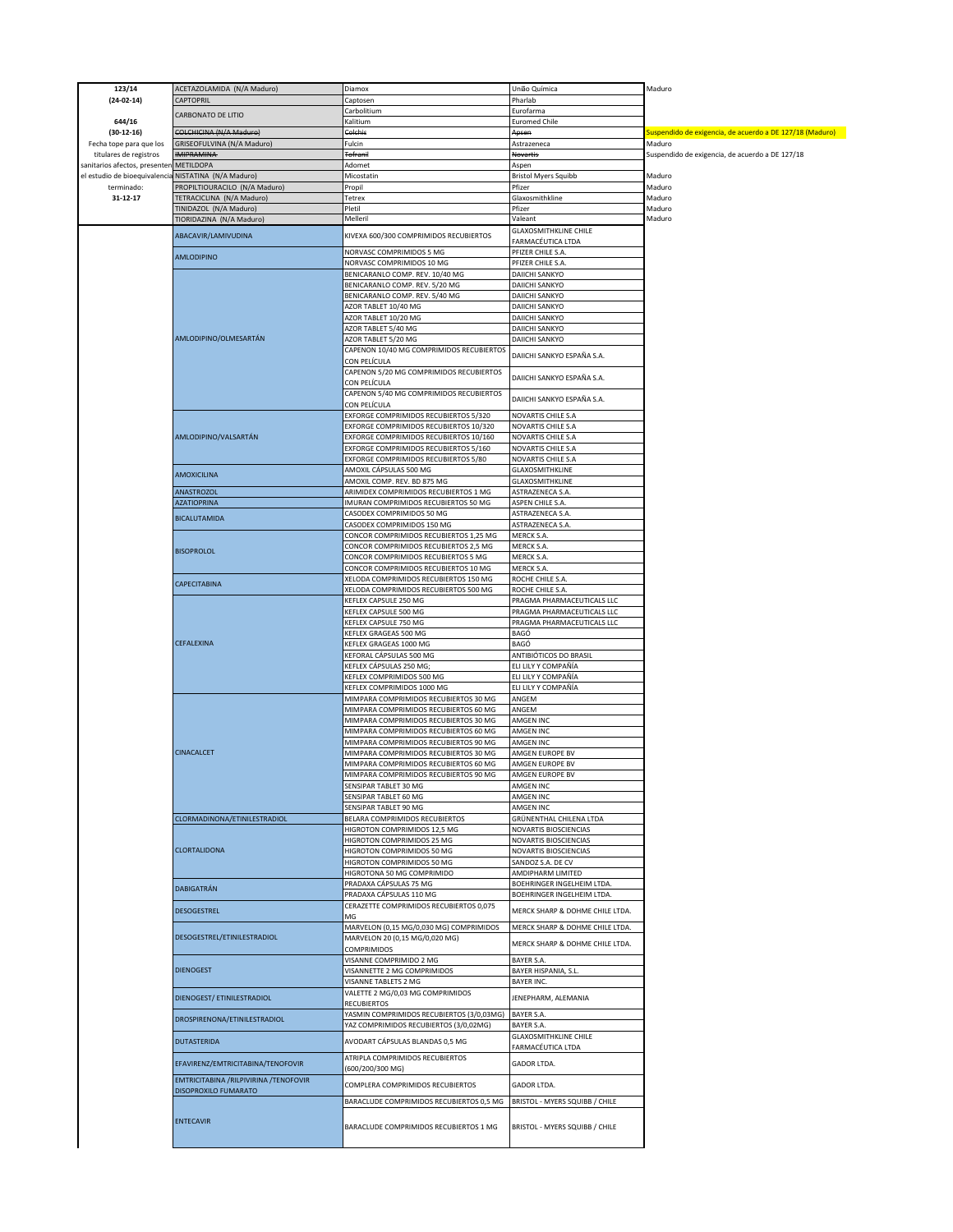| 123/14                        | ACETAZOLAMIDA (N/A Maduro)                                      | Diamox                                                                              | Unão Química                                                       | Maduro                                                   |
|-------------------------------|-----------------------------------------------------------------|-------------------------------------------------------------------------------------|--------------------------------------------------------------------|----------------------------------------------------------|
| $(24-02-14)$                  | <b>CAPTOPRIL</b>                                                | Captosen                                                                            | Pharlab                                                            |                                                          |
| 644/16                        | CARBONATO DE LITIO                                              | Carbolitium<br>Kalitium                                                             | Eurofarma<br><b>Euromed Chile</b>                                  |                                                          |
| $(30-12-16)$                  | COLCHICINA (N/A Maduro)                                         | Colchis                                                                             | Apsen                                                              | Suspendido de exigencia, de acuerdo a DE 127/18 (Maduro) |
| Fecha tope para que los       | GRISEOFULVINA (N/A Maduro)                                      | Fulcin                                                                              | Astrazeneca                                                        | Maduro                                                   |
| titulares de registros        | <b>IMIPRAMINA</b>                                               | Tofranil                                                                            | Novartis                                                           | Suspendido de exigencia, de acuerdo a DE 127/18          |
| sanitarios afectos, presenter | <b>METILDOPA</b>                                                | Adomet                                                                              | Aspen                                                              |                                                          |
|                               | el estudio de bioequivalencia NISTATINA (N/A Maduro)            | Micostatin                                                                          | <b>Bristol Myers Squibb</b>                                        | Maduro                                                   |
| terminado:                    | PROPILTIOURACILO (N/A Maduro)                                   | Propil                                                                              | Pfizer                                                             | Maduro                                                   |
| 31-12-17                      | TETRACICLINA (N/A Maduro)                                       | Tetrex                                                                              | Glaxosmithkline                                                    | Maduro                                                   |
|                               | TINIDAZOL (N/A Maduro)                                          | Pletil<br>Melleril                                                                  | Pfizer                                                             | Maduro                                                   |
|                               | TIORIDAZINA (N/A Maduro)                                        |                                                                                     | Valeant<br><b>GLAXOSMITHKLINE CHILE</b>                            | Maduro                                                   |
|                               | ABACAVIR/LAMIVUDINA                                             | KIVEXA 600/300 COMPRIMIDOS RECUBIERTOS                                              | FARMACÉUTICA LTDA                                                  |                                                          |
|                               |                                                                 | NORVASC COMPRIMIDOS 5 MG                                                            | PFIZER CHILE S.A.                                                  |                                                          |
|                               | AMLODIPINO                                                      | NORVASC COMPRIMIDOS 10 MG                                                           | PFIZER CHILE S.A.                                                  |                                                          |
|                               |                                                                 | BENICARANLO COMP. REV. 10/40 MG                                                     | DAIICHI SANKYO                                                     |                                                          |
|                               |                                                                 | BENICARANLO COMP. REV. 5/20 MG                                                      | <b>DAIICHI SANKYO</b>                                              |                                                          |
|                               |                                                                 | BENICARANLO COMP. REV. 5/40 MG                                                      | <b>DAIICHI SANKYO</b>                                              |                                                          |
|                               |                                                                 | AZOR TABLET 10/40 MG<br>AZOR TABLET 10/20 MG                                        | <b>DAIICHI SANKYO</b><br><b>DAIICHI SANKYO</b>                     |                                                          |
|                               |                                                                 | AZOR TABLET 5/40 MG                                                                 | <b>DAIICHI SANKYO</b>                                              |                                                          |
|                               | AMLODIPINO/OLMESARTÁN                                           | AZOR TABLET 5/20 MG                                                                 | DAIICHI SANKYO                                                     |                                                          |
|                               |                                                                 | CAPENON 10/40 MG COMPRIMIDOS RECUBIERTOS                                            |                                                                    |                                                          |
|                               |                                                                 | CON PELÍCULA                                                                        | DAIICHI SANKYO ESPAÑA S.A.                                         |                                                          |
|                               |                                                                 | CAPENON 5/20 MG COMPRIMIDOS RECUBIERTOS<br>CON PELÍCULA                             | DAIICHI SANKYO ESPAÑA S.A.                                         |                                                          |
|                               |                                                                 | CAPENON 5/40 MG COMPRIMIDOS RECUBIERTOS<br>CON PELÍCULA                             | DAIICHI SANKYO ESPAÑA S.A.                                         |                                                          |
|                               |                                                                 | EXFORGE COMPRIMIDOS RECUBIERTOS 5/320                                               | NOVARTIS CHILE S.A                                                 |                                                          |
|                               |                                                                 | EXFORGE COMPRIMIDOS RECUBIERTOS 10/320                                              | NOVARTIS CHILE S.A                                                 |                                                          |
|                               | AMLODIPINO/VALSARTÁN                                            | EXFORGE COMPRIMIDOS RECUBIERTOS 10/160                                              | <b>NOVARTIS CHILE S.A</b>                                          |                                                          |
|                               |                                                                 | EXFORGE COMPRIMIDOS RECUBIERTOS 5/160<br>EXFORGE COMPRIMIDOS RECUBIERTOS 5/80       | NOVARTIS CHILE S.A<br>NOVARTIS CHILE S.A                           |                                                          |
|                               |                                                                 | AMOXIL CÁPSULAS 500 MG                                                              | GLAXOSMITHKLINE                                                    |                                                          |
|                               | AMOXICILINA                                                     | AMOXIL COMP. REV. BD 875 MG                                                         | GLAXOSMITHKLINE                                                    |                                                          |
|                               | ANASTROZOL                                                      | ARIMIDEX COMPRIMIDOS RECUBIERTOS 1 MG                                               | ASTRAZENECA S.A.                                                   |                                                          |
|                               | <b>AZATIOPRINA</b>                                              | IMURAN COMPRIMIDOS RECUBIERTOS 50 MG                                                | ASPEN CHILE S.A                                                    |                                                          |
|                               | <b>BICALUTAMIDA</b>                                             | CASODEX COMPRIMIDOS 50 MG                                                           | ASTRAZENECA S.A.                                                   |                                                          |
|                               |                                                                 | CASODEX COMPRIMIDOS 150 MG                                                          | ASTRAZENECA S.A.                                                   |                                                          |
|                               |                                                                 | CONCOR COMPRIMIDOS RECUBIERTOS 1,25 MG<br>CONCOR COMPRIMIDOS RECUBIERTOS 2,5 MG     | <b>MERCK S.A.</b><br>MERCK S.A.                                    |                                                          |
|                               | <b>BISOPROLOL</b>                                               | CONCOR COMPRIMIDOS RECUBIERTOS 5 MG                                                 | MERCK S.A.                                                         |                                                          |
|                               |                                                                 | CONCOR COMPRIMIDOS RECUBIERTOS 10 MG                                                | <b>MERCK S.A.</b>                                                  |                                                          |
|                               | CAPECITABINA                                                    | XELODA COMPRIMIDOS RECUBIERTOS 150 MG                                               | ROCHE CHILE S.A.                                                   |                                                          |
|                               |                                                                 | XELODA COMPRIMIDOS RECUBIERTOS 500 MG                                               | ROCHE CHILE S.A.                                                   |                                                          |
|                               |                                                                 | KEFLEX CAPSULE 250 MG                                                               | PRAGMA PHARMACEUTICALS LLC                                         |                                                          |
|                               |                                                                 | KEFLEX CAPSULE 500 MG<br>KEFLEX CAPSULE 750 MG                                      | PRAGMA PHARMACEUTICALS LLC<br>PRAGMA PHARMACEUTICALS LLC           |                                                          |
|                               |                                                                 | KEFLEX GRAGEAS 500 MG                                                               | BAGÓ                                                               |                                                          |
|                               | CEFALEXINA                                                      | KEFLEX GRAGEAS 1000 MG                                                              | BAGÓ                                                               |                                                          |
|                               |                                                                 | KEFORAL CÁPSULAS 500 MG                                                             | ANTIBIÓTICOS DO BRASIL                                             |                                                          |
|                               |                                                                 | KEFLEX CÁPSULAS 250 MG;                                                             | ELI LILY Y COMPAÑÍA                                                |                                                          |
|                               |                                                                 | KEFLEX COMPRIMIDOS 500 MG                                                           | ELI LILY Y COMPAÑÍA                                                |                                                          |
|                               |                                                                 | KEFLEX COMPRIMIDOS 1000 MG                                                          | ELI LILY Y COMPAÑÍA                                                |                                                          |
|                               |                                                                 | MIMPARA COMPRIMIDOS RECUBIERTOS 30 MG<br>MIMPARA COMPRIMIDOS RECUBIERTOS 60 MG      | ANGEM<br>ANGEM                                                     |                                                          |
|                               |                                                                 | MIMPARA COMPRIMIDOS RECUBIERTOS 30 MG                                               | <b>AMGEN INC</b>                                                   |                                                          |
|                               |                                                                 | MIMPARA COMPRIMIDOS RECUBIERTOS 60 MG                                               | <b>AMGEN INC</b>                                                   |                                                          |
|                               |                                                                 | MIMPARA COMPRIMIDOS RECUBIERTOS 90 MG                                               | AMGEN INC                                                          |                                                          |
|                               | CINACALCET                                                      | MIMPARA COMPRIMIDOS RECUBIERTOS 30 MG                                               | AMGEN EUROPE BV                                                    |                                                          |
|                               |                                                                 | MIMPARA COMPRIMIDOS RECUBIERTOS 60 MG                                               | AMGEN EUROPE BV                                                    |                                                          |
|                               |                                                                 | MIMPARA COMPRIMIDOS RECUBIERTOS 90 MG                                               | AMGEN EUROPE BV                                                    |                                                          |
|                               |                                                                 | SENSIPAR TABLET 30 MG<br>SENSIPAR TABLET 60 MG                                      | AMGEN INC<br><b>AMGEN INC</b>                                      |                                                          |
|                               |                                                                 | SENSIPAR TABLET 90 MG                                                               | AMGEN INC                                                          |                                                          |
|                               | CLORMADINONA/ETINILESTRADIOL                                    | BELARA COMPRIMIDOS RECUBIERTOS                                                      | GRÜNENTHAL CHILENA LTDA                                            |                                                          |
|                               |                                                                 | HIGROTON COMPRIMIDOS 12,5 MG                                                        | NOVARTIS BIOSCIENCIAS                                              |                                                          |
|                               |                                                                 | HIGROTON COMPRIMIDOS 25 MG                                                          | NOVARTIS BIOSCIENCIAS                                              |                                                          |
|                               | CLORTALIDONA                                                    | HIGROTON COMPRIMIDOS 50 MG                                                          | NOVARTIS BIOSCIENCIAS                                              |                                                          |
|                               |                                                                 | HIGROTON COMPRIMIDOS 50 MG<br>HIGROTONA 50 MG COMPRIMIDO                            | SANDOZ S.A. DE CV                                                  |                                                          |
|                               |                                                                 | PRADAXA CÁPSULAS 75 MG                                                              | AMDIPHARM LIMITED<br>BOEHRINGER INGELHEIM LTDA.                    |                                                          |
|                               | DABIGATRÁN                                                      | PRADAXA CÁPSULAS 110 MG                                                             | BOEHRINGER INGELHEIM LTDA.                                         |                                                          |
|                               | <b>DESOGESTREL</b>                                              | CERAZETTE COMPRIMIDOS RECUBIERTOS 0,075<br>MG                                       | MERCK SHARP & DOHME CHILE LTDA.                                    |                                                          |
|                               | DESOGESTREL/ETINILESTRADIOL                                     | MARVELON (0,15 MG/0,030 MG) COMPRIMIDOS<br>MARVELON 20 (0,15 MG/0,020 MG)           | MERCK SHARP & DOHME CHILE LTDA.<br>MERCK SHARP & DOHME CHILE LTDA. |                                                          |
|                               |                                                                 | <b>COMPRIMIDOS</b><br>VISANNE COMPRIMIDO 2 MG                                       | BAYER S.A.                                                         |                                                          |
|                               | <b>DIENOGEST</b>                                                | VISANNETTE 2 MG COMPRIMIDOS<br>VISANNE TABLETS 2 MG                                 | BAYER HISPANIA, S.L.<br><b>BAYER INC.</b>                          |                                                          |
|                               | DIENOGEST/ ETINILESTRADIOL                                      | VALETTE 2 MG/0,03 MG COMPRIMIDOS<br><b>RECUBIERTOS</b>                              | JENEPHARM, ALEMANIA                                                |                                                          |
|                               | DROSPIRENONA/ETINILESTRADIOL                                    | YASMIN COMPRIMIDOS RECUBIERTOS (3/0,03MG)<br>YAZ COMPRIMIDOS RECUBIERTOS (3/0,02MG) | <b>BAYER S.A.</b><br><b>BAYER S.A.</b>                             |                                                          |
|                               | <b>DUTASTERIDA</b>                                              | AVODART CÁPSULAS BLANDAS 0,5 MG                                                     | <b>GLAXOSMITHKLINE CHILE</b><br>FARMACÉUTICA LTDA                  |                                                          |
|                               | EFAVIRENZ/EMTRICITABINA/TENOFOVIR                               | ATRIPLA COMPRIMIDOS RECUBIERTOS<br>(600/200/300 MG)                                 | <b>GADOR LTDA.</b>                                                 |                                                          |
|                               | EMTRICITABINA / RILPIVIRINA / TENOFOVIR<br>DISOPROXILO FUMARATO | COMPLERA COMPRIMIDOS RECUBIERTOS                                                    | <b>GADOR LTDA.</b>                                                 |                                                          |
|                               |                                                                 | BARACLUDE COMPRIMIDOS RECUBIERTOS 0,5 MG                                            | BRISTOL - MYERS SQUIBB / CHILE                                     |                                                          |
|                               | <b>ENTECAVIR</b>                                                | BARACLUDE COMPRIMIDOS RECUBIERTOS 1 MG                                              | BRISTOL - MYERS SQUIBB / CHILE                                     |                                                          |
|                               |                                                                 |                                                                                     |                                                                    |                                                          |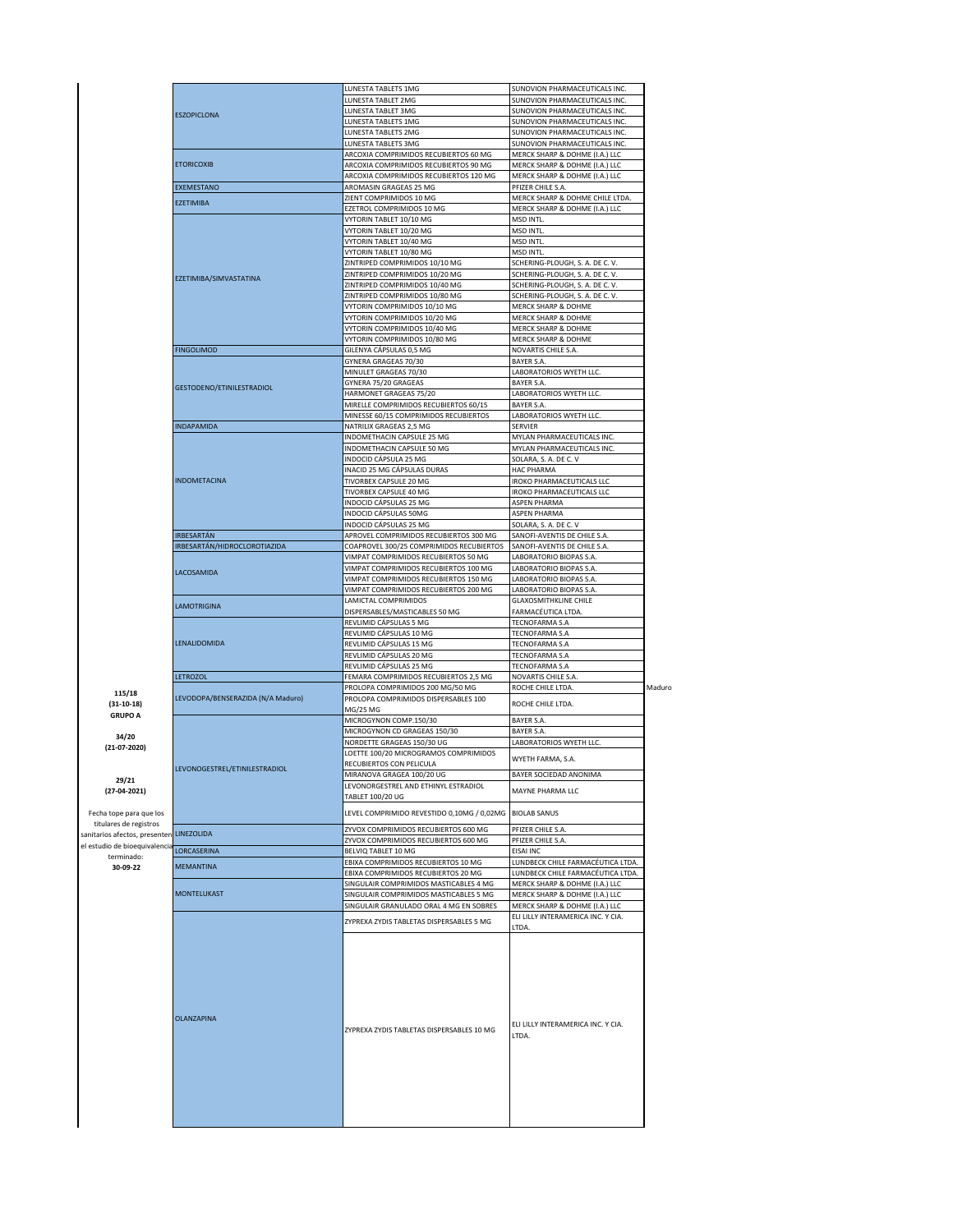| 115/18<br>(31-10-18)<br><b>GRUPO A</b><br>34/20<br>$(21-07-2020)$<br>29/21                                                    | LACOSAMIDA<br><b>LAMOTRIGINA</b><br>LENALIDOMIDA<br>LETROZOL<br>LEVODOPA/BENSERAZIDA (N/A Maduro)<br>LEVONOGESTREL/ETINILESTRADIOL | VIMPAT COMPRIMIDOS RECUBIERTOS 50 MG<br>VIMPAT COMPRIMIDOS RECUBIERTOS 100 MG<br>VIMPAT COMPRIMIDOS RECUBIERTOS 150 MG<br>VIMPAT COMPRIMIDOS RECUBIERTOS 200 MG<br>LAMICTAL COMPRIMIDOS<br>DISPERSABLES/MASTICABLES 50 MG<br>REVLIMID CÁPSULAS 5 MG<br>REVLIMID CÁPSULAS 10 MG<br>REVLIMID CÁPSULAS 15 MG<br>REVLIMID CÁPSULAS 20 MG<br>REVLIMID CÁPSULAS 25 MG<br>FEMARA COMPRIMIDOS RECUBIERTOS 2,5 MG<br>PROLOPA COMPRIMIDOS 200 MG/50 MG<br>PROLOPA COMPRIMIDOS DISPERSABLES 100<br>MG/25 MG<br>MICROGYNON COMP.150/30<br>MICROGYNON CD GRAGEAS 150/30<br>NORDETTE GRAGEAS 150/30 UG<br>LOETTE 100/20 MICROGRAMOS COMPRIMIDOS<br>RECUBIERTOS CON PELICULA<br>MIRANOVA GRAGEA 100/20 UG<br>LEVONORGESTREL AND ETHINYL ESTRADIOL | LABORATORIO BIOPAS S.A.<br>LABORATORIO BIOPAS S.A<br>LABORATORIO BIOPAS S.A.<br>LABORATORIO BIOPAS S.A.<br><b>GLAXOSMITHKLINE CHILE</b><br>FARMACÉUTICA LTDA<br><b>TECNOFARMA S.A</b><br><b>TECNOFARMA S.A</b><br>TECNOFARMA S.A<br>TECNOFARMA S.A<br><b>TECNOFARMA S.A</b><br>NOVARTIS CHILE S.A.<br>ROCHE CHILE LTDA.<br>ROCHE CHILE LTDA.<br>BAYER S.A.<br><b>BAYER S.A</b><br>LABORATORIOS WYETH LLC.<br>WYETH FARMA, S.A.<br>BAYER SOCIEDAD ANONIMA | Maduro |
|-------------------------------------------------------------------------------------------------------------------------------|------------------------------------------------------------------------------------------------------------------------------------|------------------------------------------------------------------------------------------------------------------------------------------------------------------------------------------------------------------------------------------------------------------------------------------------------------------------------------------------------------------------------------------------------------------------------------------------------------------------------------------------------------------------------------------------------------------------------------------------------------------------------------------------------------------------------------------------------------------------------------|----------------------------------------------------------------------------------------------------------------------------------------------------------------------------------------------------------------------------------------------------------------------------------------------------------------------------------------------------------------------------------------------------------------------------------------------------------|--------|
| $(27-04-2021)$<br>Fecha tope para que los                                                                                     |                                                                                                                                    | TABLET 100/20 UG<br>LEVEL COMPRIMIDO REVESTIDO 0,10MG / 0,02MG                                                                                                                                                                                                                                                                                                                                                                                                                                                                                                                                                                                                                                                                     | MAYNE PHARMA LLC<br><b>BIOLAB SANUS</b>                                                                                                                                                                                                                                                                                                                                                                                                                  |        |
| titulares de registros<br>sanitarios afectos, presenten LINEZOLIDA<br>el estudio de bioequivalencia<br>terminado:<br>30-09-22 | LORCASERINA<br><b>MEMANTINA</b><br><b>MONTELUKAST</b>                                                                              | ZYVOX COMPRIMIDOS RECUBIERTOS 600 MG<br>ZYVOX COMPRIMIDOS RECUBIERTOS 600 MG<br>BELVIQ TABLET 10 MG<br>EBIXA COMPRIMIDOS RECUBIERTOS 10 MG<br>EBIXA COMPRIMIDOS RECUBIERTOS 20 MG<br>SINGULAIR COMPRIMIDOS MASTICABLES 4 MG<br>SINGULAIR COMPRIMIDOS MASTICABLES 5 MG                                                                                                                                                                                                                                                                                                                                                                                                                                                              | PFIZER CHILE S.A.<br>PFIZER CHILE S.A.<br>EISAI INC<br>LUNDBECK CHILE FARMACÉUTICA LTDA.<br>LUNDBECK CHILE FARMACÉUTICA LTDA.<br>MERCK SHARP & DOHME (I.A.) LLC<br>MERCK SHARP & DOHME (I.A.) LLC                                                                                                                                                                                                                                                        |        |
|                                                                                                                               | <b>OLANZAPINA</b>                                                                                                                  | SINGULAIR GRANULADO ORAL 4 MG EN SOBRES<br>ZYPREXA ZYDIS TABLETAS DISPERSABLES 5 MG<br>ZYPREXA ZYDIS TABLETAS DISPERSABLES 10 MG                                                                                                                                                                                                                                                                                                                                                                                                                                                                                                                                                                                                   | MERCK SHARP & DOHME (I.A.) LLC<br>ELI LILLY INTERAMERICA INC. Y CIA.<br>LTDA.<br>ELI LILLY INTERAMERICA INC. Y CIA.<br>LTDA.                                                                                                                                                                                                                                                                                                                             |        |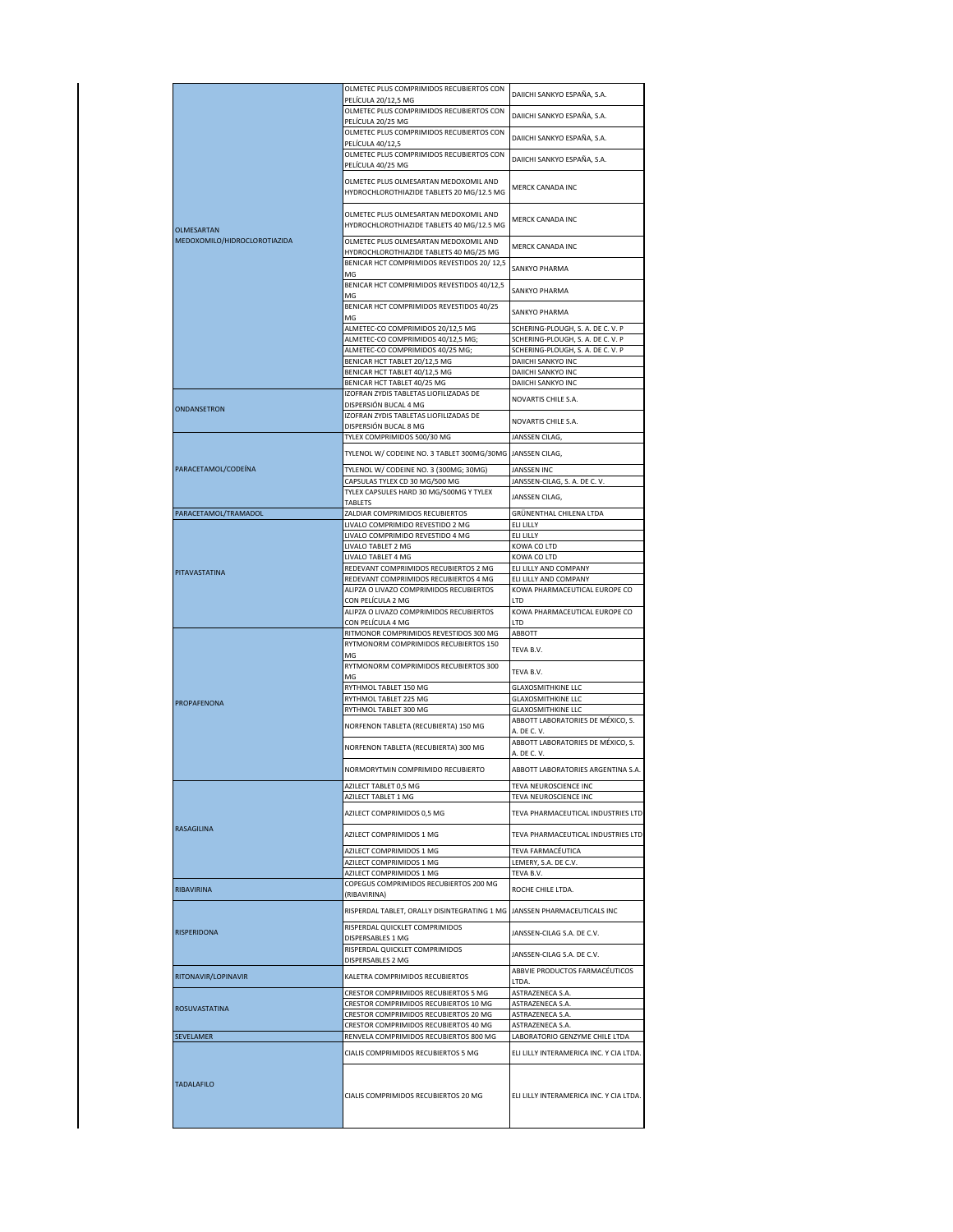|                              | OLMETEC PLUS COMPRIMIDOS RECUBIERTOS CON                                 |                                         |
|------------------------------|--------------------------------------------------------------------------|-----------------------------------------|
|                              | PELÍCULA 20/12,5 MG                                                      | DAIICHI SANKYO ESPAÑA, S.A.             |
|                              | OLMETEC PLUS COMPRIMIDOS RECUBIERTOS CON                                 |                                         |
|                              |                                                                          | DAIICHI SANKYO ESPAÑA, S.A.             |
|                              | PELÍCULA 20/25 MG                                                        |                                         |
|                              | OLMETEC PLUS COMPRIMIDOS RECUBIERTOS CON                                 | DAIICHI SANKYO ESPAÑA, S.A.             |
|                              | PELÍCULA 40/12,5                                                         |                                         |
|                              | OLMETEC PLUS COMPRIMIDOS RECUBIERTOS CON                                 | DAIICHI SANKYO ESPAÑA, S.A.             |
|                              | PELÍCULA 40/25 MG                                                        |                                         |
|                              | OLMETEC PLUS OLMESARTAN MEDOXOMIL AND                                    |                                         |
|                              |                                                                          | MERCK CANADA INC                        |
|                              | HYDROCHLOROTHIAZIDE TABLETS 20 MG/12.5 MG                                |                                         |
|                              |                                                                          |                                         |
|                              | OLMETEC PLUS OLMESARTAN MEDOXOMIL AND                                    | MERCK CANADA INC                        |
| OLMESARTAN                   | HYDROCHLOROTHIAZIDE TABLETS 40 MG/12.5 MG                                |                                         |
| MEDOXOMILO/HIDROCLOROTIAZIDA | OLMETEC PLUS OLMESARTAN MEDOXOMIL AND                                    |                                         |
|                              | HYDROCHLOROTHIAZIDE TABLETS 40 MG/25 MG                                  | MERCK CANADA INC                        |
|                              | BENICAR HCT COMPRIMIDOS REVESTIDOS 20/12,5                               |                                         |
|                              |                                                                          | SANKYO PHARMA                           |
|                              | MG                                                                       |                                         |
|                              | BENICAR HCT COMPRIMIDOS REVESTIDOS 40/12,5                               | SANKYO PHARMA                           |
|                              | MG                                                                       |                                         |
|                              | BENICAR HCT COMPRIMIDOS REVESTIDOS 40/25                                 | SANKYO PHARMA                           |
|                              | MG                                                                       |                                         |
|                              | ALMETEC-CO COMPRIMIDOS 20/12,5 MG                                        | SCHERING-PLOUGH, S. A. DE C. V. P       |
|                              | ALMETEC-CO COMPRIMIDOS 40/12,5 MG;                                       | SCHERING-PLOUGH, S. A. DE C. V. P       |
|                              | ALMETEC-CO COMPRIMIDOS 40/25 MG;                                         | SCHERING-PLOUGH, S. A. DE C. V. P       |
|                              | BENICAR HCT TABLET 20/12,5 MG                                            | DAIICHI SANKYO INC                      |
|                              | BENICAR HCT TABLET 40/12,5 MG                                            | DAIICHI SANKYO INC                      |
|                              | BENICAR HCT TABLET 40/25 MG                                              | DAIICHI SANKYO INC                      |
|                              |                                                                          |                                         |
|                              | IZOFRAN ZYDIS TABLETAS LIOFILIZADAS DE                                   | NOVARTIS CHILE S.A.                     |
| ONDANSETRON                  | DISPERSIÓN BUCAL 4 MG                                                    |                                         |
|                              | IZOFRAN ZYDIS TABLETAS LIOFILIZADAS DE                                   | NOVARTIS CHILE S.A.                     |
|                              | DISPERSIÓN BUCAL 8 MG                                                    |                                         |
|                              | TYLEX COMPRIMIDOS 500/30 MG                                              | JANSSEN CILAG,                          |
|                              |                                                                          |                                         |
|                              | TYLENOL W/ CODEINE NO. 3 TABLET 300MG/30MG JANSSEN CILAG,                |                                         |
| PARACETAMOL/CODEÍNA          | TYLENOL W/ CODEINE NO. 3 (300MG; 30MG)                                   | JANSSEN INC                             |
|                              | CAPSULAS TYLEX CD 30 MG/500 MG                                           | JANSSEN-CILAG, S. A. DE C. V.           |
|                              | TYLEX CAPSULES HARD 30 MG/500MG Y TYLEX                                  |                                         |
|                              | <b>TABLETS</b>                                                           | JANSSEN CILAG.                          |
|                              |                                                                          |                                         |
| PARACETAMOL/TRAMADOL         | ZALDIAR COMPRIMIDOS RECUBIERTOS                                          | GRÜNENTHAL CHILENA LTDA                 |
|                              | LIVALO COMPRIMIDO REVESTIDO 2 MG                                         | ELI LILLY                               |
|                              | LIVALO COMPRIMIDO REVESTIDO 4 MG                                         | ELI LILLY                               |
|                              | LIVALO TABLET 2 MG                                                       | KOWA CO LTD                             |
|                              | LIVALO TABLET 4 MG                                                       | KOWA CO LTD                             |
|                              | REDEVANT COMPRIMIDOS RECUBIERTOS 2 MG                                    | ELI LILLY AND COMPANY                   |
| PITAVASTATINA                | REDEVANT COMPRIMIDOS RECUBIERTOS 4 MG                                    | ELI LILLY AND COMPANY                   |
|                              | ALIPZA O LIVAZO COMPRIMIDOS RECUBIERTOS                                  | KOWA PHARMACEUTICAL EUROPE CO           |
|                              |                                                                          |                                         |
|                              | CON PELÍCULA 2 MG                                                        | LTD                                     |
|                              | ALIPZA O LIVAZO COMPRIMIDOS RECUBIERTOS                                  | KOWA PHARMACEUTICAL EUROPE CO           |
|                              |                                                                          |                                         |
|                              | CON PELÍCULA 4 MG                                                        | LTD                                     |
|                              | RITMONOR COMPRIMIDOS REVESTIDOS 300 MG                                   | ABBOTT                                  |
|                              | RYTMONORM COMPRIMIDOS RECUBIERTOS 150                                    |                                         |
|                              | MG                                                                       | TEVA B.V.                               |
|                              |                                                                          |                                         |
|                              | RYTMONORM COMPRIMIDOS RECUBIERTOS 300                                    | TEVA B.V.                               |
|                              | MG                                                                       |                                         |
|                              | RYTHMOL TABLET 150 MG                                                    | <b>GLAXOSMITHKINE LLC</b>               |
| <b>PROPAFENONA</b>           | RYTHMOL TABLET 225 MG                                                    | <b>GLAXOSMITHKINE LLC</b>               |
|                              | RYTHMOL TABLET 300 MG                                                    | <b>GLAXOSMITHKINE LLC</b>               |
|                              |                                                                          | ABBOTT LABORATORIES DE MÉXICO, S.       |
|                              | NORFENON TABLETA (RECUBIERTA) 150 MG                                     | A. DE C. V.                             |
|                              |                                                                          | ABBOTT LABORATORIES DE MÉXICO, S.       |
|                              | NORFENON TABLETA (RECUBIERTA) 300 MG                                     |                                         |
|                              |                                                                          | A. DE C. V.                             |
|                              | NORMORYTMIN COMPRIMIDO RECUBIERTO                                        | ABBOTT LABORATORIES ARGENTINA S.A.      |
|                              |                                                                          |                                         |
|                              | AZILECT TABLET 0,5 MG                                                    | TEVA NEUROSCIENCE INC                   |
|                              | AZILECT TABLET 1 MG                                                      | TEVA NEUROSCIENCE INC                   |
|                              | AZILECT COMPRIMIDOS 0,5 MG                                               | TEVA PHARMACEUTICAL INDUSTRIES LTD      |
|                              |                                                                          |                                         |
| RASAGILINA                   | AZILECT COMPRIMIDOS 1 MG                                                 | TEVA PHARMACEUTICAL INDUSTRIES LTD      |
|                              |                                                                          |                                         |
|                              | AZILECT COMPRIMIDOS 1 MG                                                 | TEVA FARMACÉUTICA                       |
|                              | AZILECT COMPRIMIDOS 1 MG                                                 | LEMERY, S.A. DE C.V.                    |
|                              | AZILECT COMPRIMIDOS 1 MG                                                 | TEVA B.V.                               |
|                              | COPEGUS COMPRIMIDOS RECUBIERTOS 200 MG                                   |                                         |
| RIBAVIRINA                   | (RIBAVIRINA)                                                             | ROCHE CHILE LTDA.                       |
|                              |                                                                          |                                         |
|                              | RISPERDAL TABLET, ORALLY DISINTEGRATING 1 MG JANSSEN PHARMACEUTICALS INC |                                         |
|                              |                                                                          |                                         |
| <b>RISPERIDONA</b>           | RISPERDAL QUICKLET COMPRIMIDOS                                           | JANSSEN-CILAG S.A. DE C.V.              |
|                              | DISPERSABLES 1 MG                                                        |                                         |
|                              | RISPERDAL QUICKLET COMPRIMIDOS                                           | JANSSEN-CILAG S.A. DE C.V.              |
|                              | DISPERSABLES 2 MG                                                        |                                         |
|                              |                                                                          | ABBVIE PRODUCTOS FARMACÉUTICOS          |
| RITONAVIR/LOPINAVIR          | KALETRA COMPRIMIDOS RECUBIERTOS                                          | LTDA                                    |
|                              |                                                                          |                                         |
|                              | CRESTOR COMPRIMIDOS RECUBIERTOS 5 MG                                     | ASTRAZENECA S.A.                        |
| <b>ROSUVASTATINA</b>         | CRESTOR COMPRIMIDOS RECUBIERTOS 10 MG                                    | ASTRAZENECA S.A.                        |
|                              | CRESTOR COMPRIMIDOS RECUBIERTOS 20 MG                                    | ASTRAZENECA S.A.                        |
|                              | CRESTOR COMPRIMIDOS RECUBIERTOS 40 MG                                    | ASTRAZENECA S.A.                        |
| <b>SEVELAMER</b>             | RENVELA COMPRIMIDOS RECUBIERTOS 800 MG                                   | LABORATORIO GENZYME CHILE LTDA          |
|                              |                                                                          |                                         |
|                              | CIALIS COMPRIMIDOS RECUBIERTOS 5 MG                                      | ELI LILLY INTERAMERICA INC. Y CIA LTDA. |
|                              |                                                                          |                                         |
|                              |                                                                          |                                         |
| <b>TADALAFILO</b>            |                                                                          |                                         |
|                              | CIALIS COMPRIMIDOS RECUBIERTOS 20 MG                                     | ELI LILLY INTERAMERICA INC. Y CIA LTDA. |
|                              |                                                                          |                                         |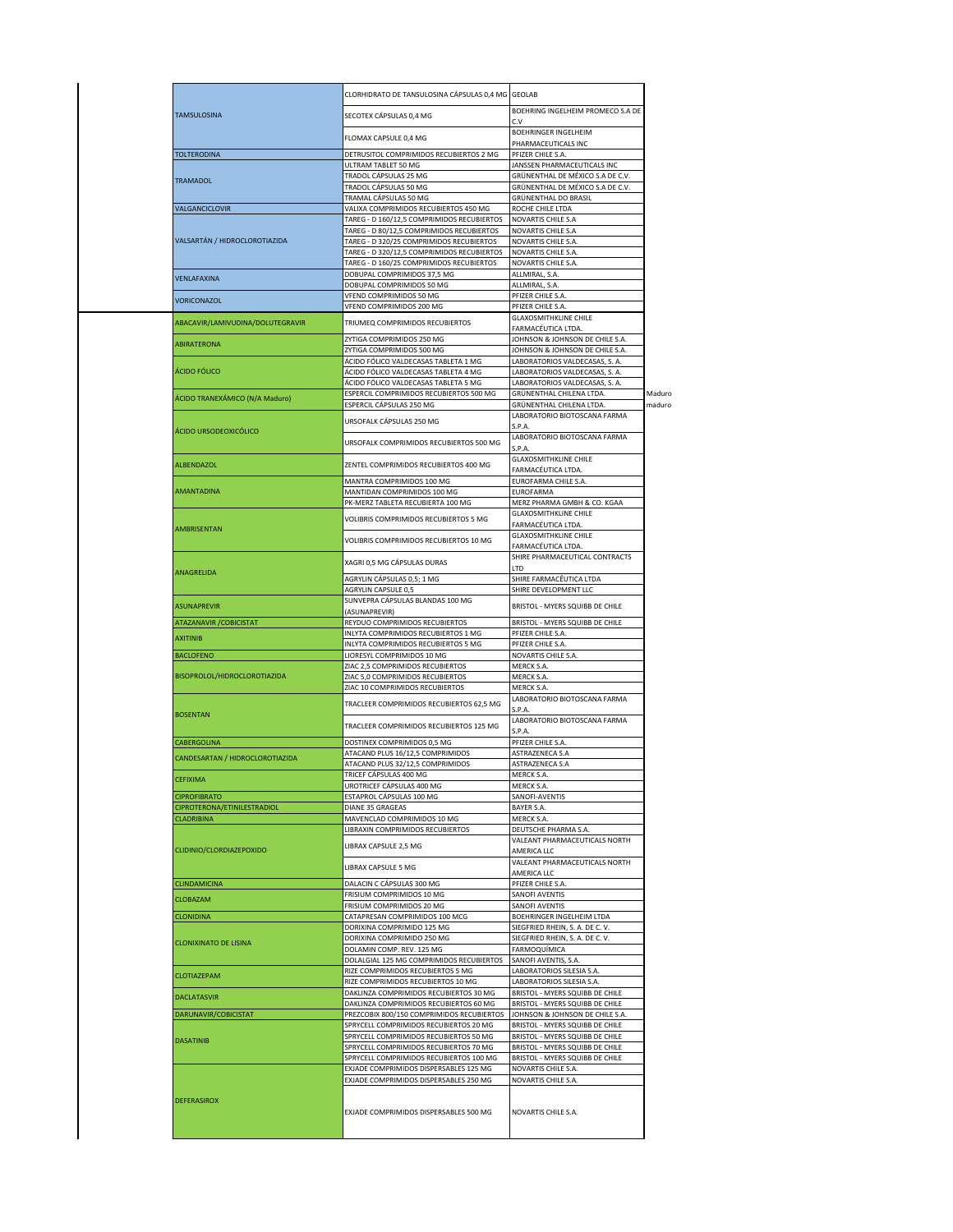|                                                    | CLORHIDRATO DE TANSULOSINA CÁPSULAS 0,4 MG GEOLAB                                       |                                                                      |        |
|----------------------------------------------------|-----------------------------------------------------------------------------------------|----------------------------------------------------------------------|--------|
| <b>TAMSULOSINA</b>                                 | SECOTEX CÁPSULAS 0,4 MG                                                                 | BOEHRING INGELHEIM PROMECO S.A DE<br>C.V                             |        |
|                                                    | FLOMAX CAPSULE 0.4 MG                                                                   | BOEHRINGER INGELHEIM<br>PHARMACEUTICALS INC                          |        |
| <b>TOLTERODINA</b>                                 | DETRUSITOL COMPRIMIDOS RECUBIERTOS 2 MG                                                 | PFIZER CHILE S.A.                                                    |        |
|                                                    | ULTRAM TABLET 50 MG                                                                     | JANSSEN PHARMACEUTICALS INC                                          |        |
| <b>TRAMADOL</b>                                    | TRADOL CÁPSULAS 25 MG<br>TRADOL CÁPSULAS 50 MG                                          | GRÜNENTHAL DE MÉXICO S.A DE C.V.<br>GRÜNENTHAL DE MÉXICO S.A DE C.V. |        |
|                                                    | TRAMAL CÁPSULAS 50 MG                                                                   | GRÜNENTHAL DO BRASIL                                                 |        |
| VALGANCICLOVIR                                     | VALIXA COMPRIMIDOS RECUBIERTOS 450 MG                                                   | ROCHE CHILE LTDA                                                     |        |
|                                                    | TAREG - D 160/12,5 COMPRIMIDOS RECUBIERTOS<br>TAREG - D 80/12,5 COMPRIMIDOS RECUBIERTOS | NOVARTIS CHILE S.A<br>NOVARTIS CHILE S.A                             |        |
| VALSARTÁN / HIDROCLOROTIAZIDA                      | TAREG - D 320/25 COMPRIMIDOS RECUBIERTOS                                                | NOVARTIS CHILE S.A.                                                  |        |
|                                                    | TAREG - D 320/12,5 COMPRIMIDOS RECUBIERTOS                                              | NOVARTIS CHILE S.A.                                                  |        |
|                                                    | TAREG - D 160/25 COMPRIMIDOS RECUBIERTOS<br>DOBUPAL COMPRIMIDOS 37,5 MG                 | NOVARTIS CHILE S.A.<br>ALLMIRAL, S.A.                                |        |
| VENLAFAXINA                                        | DOBUPAL COMPRIMIDOS 50 MG                                                               | ALLMIRAL, S.A.                                                       |        |
| <b>VORICONAZOL</b>                                 | VFEND COMPRIMIDOS 50 MG<br>VFEND COMPRIMIDOS 200 MG                                     | PFIZER CHILE S.A.<br>PFIZER CHILE S.A.                               |        |
|                                                    |                                                                                         | <b>GLAXOSMITHKLINE CHILE</b>                                         |        |
| ABACAVIR/LAMIVUDINA/DOLUTEGRAVIR                   | TRIUMEQ COMPRIMIDOS RECUBIERTOS                                                         | FARMACÉUTICA LTDA.                                                   |        |
| ABIRATERONA                                        | ZYTIGA COMPRIMIDOS 250 MG<br>ZYTIGA COMPRIMIDOS 500 MG                                  | JOHNSON & JOHNSON DE CHILE S.A.<br>JOHNSON & JOHNSON DE CHILE S.A.   |        |
|                                                    | ÁCIDO FÓLICO VALDECASAS TABLETA 1 MG                                                    | LABORATORIOS VALDECASAS, S. A.                                       |        |
| ÁCIDO FÓLICO                                       | ÁCIDO FÓLICO VALDECASAS TABLETA 4 MG                                                    | LABORATORIOS VALDECASAS, S. A.                                       |        |
|                                                    | ÁCIDO FÓLICO VALDECASAS TABLETA 5 MG<br>ESPERCIL COMPRIMIDOS RECUBIERTOS 500 MG         | LABORATORIOS VALDECASAS, S. A.<br>GRÜNENTHAL CHILENA LTDA.           | Maduro |
| ÁCIDO TRANEXÁMICO (N/A Maduro)                     | ESPERCIL CÁPSULAS 250 MG                                                                | GRÜNENTHAL CHILENA LTDA.                                             | maduro |
|                                                    | URSOFALK CÁPSULAS 250 MG                                                                | LABORATORIO BIOTOSCANA FARMA                                         |        |
| ÁCIDO URSODEOXICÓLICO                              |                                                                                         | S.P.A<br>LABORATORIO BIOTOSCANA FARMA                                |        |
|                                                    | URSOFALK COMPRIMIDOS RECUBIERTOS 500 MG                                                 | S.P.A.                                                               |        |
| <b>ALBENDAZOL</b>                                  | ZENTEL COMPRIMIDOS RECUBIERTOS 400 MG                                                   | <b>GLAXOSMITHKLINE CHILE</b>                                         |        |
|                                                    | MANTRA COMPRIMIDOS 100 MG                                                               | FARMACÉUTICA LTDA.<br>EUROFARMA CHILE S.A.                           |        |
| AMANTADINA                                         | MANTIDAN COMPRIMIDOS 100 MG                                                             | <b>EUROFARMA</b>                                                     |        |
|                                                    | PK-MERZ TABLETA RECUBIERTA 100 MG                                                       | MERZ PHARMA GMBH & CO. KGAA                                          |        |
|                                                    | VOLIBRIS COMPRIMIDOS RECUBIERTOS 5 MG                                                   | <b>GLAXOSMITHKLINE CHILE</b><br>FARMACÉUTICA LTDA.                   |        |
| <b>AMBRISENTAN</b>                                 | VOLIBRIS COMPRIMIDOS RECUBIERTOS 10 MG                                                  | <b>GLAXOSMITHKLINE CHILE</b>                                         |        |
|                                                    |                                                                                         | FARMACÉUTICA LTDA.                                                   |        |
|                                                    | XAGRI 0,5 MG CÁPSULAS DURAS                                                             | SHIRE PHARMACEUTICAL CONTRACTS<br>LTD                                |        |
| ANAGRELIDA                                         | AGRYLIN CÁPSULAS 0,5; 1 MG                                                              | SHIRE FARMACÊUTICA LTDA                                              |        |
|                                                    | AGRYLIN CAPSULE 0,5                                                                     | SHIRE DEVELOPMENT LLC                                                |        |
| <b>ASUNAPREVIR</b>                                 | SUNVEPRA CÁPSULAS BLANDAS 100 MG<br>(ASUNAPREVIR)                                       | BRISTOL - MYERS SQUIBB DE CHILE                                      |        |
| ATAZANAVIR / COBICISTAT                            | REYDUO COMPRIMIDOS RECUBIERTOS                                                          | BRISTOL - MYERS SQUIBB DE CHILE                                      |        |
| <b>AXITINIB</b>                                    | INLYTA COMPRIMIDOS RECUBIERTOS 1 MG<br>INLYTA COMPRIMIDOS RECUBIERTOS 5 MG              | PFIZER CHILE S.A.<br>PFIZER CHILE S.A.                               |        |
| <b>BACLOFENO</b>                                   | LIORESYL COMPRIMIDOS 10 MG                                                              | NOVARTIS CHILE S.A.                                                  |        |
|                                                    | ZIAC 2,5 COMPRIMIDOS RECUBIERTOS                                                        | MERCK S.A.                                                           |        |
| BISOPROLOL/HIDROCLOROTIAZIDA                       | ZIAC 5,0 COMPRIMIDOS RECUBIERTOS<br>ZIAC 10 COMPRIMIDOS RECUBIERTOS                     | MERCK S.A.<br>MERCK S.A.                                             |        |
|                                                    | TRACLEER COMPRIMIDOS RECUBIERTOS 62,5 MG                                                | LABORATORIO BIOTOSCANA FARMA                                         |        |
| <b>BOSENTAN</b>                                    |                                                                                         | S.P.A.<br>LABORATORIO BIOTOSCANA FARMA                               |        |
|                                                    | TRACLEER COMPRIMIDOS RECUBIERTOS 125 MG                                                 | S.P.A.                                                               |        |
| CABERGOLINA                                        | DOSTINEX COMPRIMIDOS 0,5 MG                                                             | PFIZER CHILE S.A.                                                    |        |
| CANDESARTAN / HIDROCLOROTIAZIDA                    | ATACAND PLUS 16/12,5 COMPRIMIDOS<br>ATACAND PLUS 32/12,5 COMPRIMIDOS                    | ASTRAZENECA S.A<br>ASTRAZENECA S.A                                   |        |
| CEFIXIMA                                           | TRICEF CÁPSULAS 400 MG                                                                  | MERCK S.A.                                                           |        |
|                                                    | UROTRICEF CÁPSULAS 400 MG                                                               | MERCK S.A.                                                           |        |
| <b>CIPROFIBRATO</b><br>CIPROTERONA/ETINILESTRADIOL | ESTAPROL CÁPSULAS 100 MG<br><b>DIANE 35 GRAGEAS</b>                                     | SANOFI-AVENTIS<br>BAYER S.A.                                         |        |
| <b>CLADRIBINA</b>                                  | MAVENCLAD COMPRIMIDOS 10 MG                                                             | <b>MERCK S.A.</b>                                                    |        |
|                                                    | LIBRAXIN COMPRIMIDOS RECUBIERTOS                                                        | DEUTSCHE PHARMA S.A.                                                 |        |
|                                                    | LIBRAX CAPSULE 2,5 MG                                                                   | VALEANT PHARMACEUTICALS NORTH<br>AMERICA LLC                         |        |
|                                                    |                                                                                         |                                                                      |        |
| CLIDINIO/CLORDIAZEPOXIDO                           |                                                                                         | VALEANT PHARMACEUTICALS NORTH                                        |        |
|                                                    | LIBRAX CAPSULE 5 MG                                                                     | AMERICA LLC                                                          |        |
| <b>CLINDAMICINA</b>                                | DALACIN C CÁPSULAS 300 MG                                                               | PFIZER CHILE S.A.                                                    |        |
| <b>CLOBAZAM</b>                                    | FRISIUM COMPRIMIDOS 10 MG<br>FRISIUM COMPRIMIDOS 20 MG                                  | SANOFI AVENTIS<br>SANOFI AVENTIS                                     |        |
| <b>CLONIDINA</b>                                   | CATAPRESAN COMPRIMIDOS 100 MCG                                                          | BOEHRINGER INGELHEIM LTDA                                            |        |
|                                                    | DORIXINA COMPRIMIDO 125 MG                                                              | SIEGFRIED RHEIN, S. A. DE C. V.                                      |        |
| <b>CLONIXINATO DE LISINA</b>                       | DORIXINA COMPRIMIDO 250 MG<br>DOLAMIN COMP. REV. 125 MG                                 | SIEGFRIED RHEIN, S. A. DE C. V.<br>FARMOQUÍMICA                      |        |
|                                                    | DOLALGIAL 125 MG COMPRIMIDOS RECUBIERTOS                                                | SANOFI AVENTIS, S.A.                                                 |        |
| CLOTIAZEPAM                                        | RIZE COMPRIMIDOS RECUBIERTOS 5 MG<br>RIZE COMPRIMIDOS RECUBIERTOS 10 MG                 | LABORATORIOS SILESIA S.A.<br>LABORATORIOS SILESIA S.A.               |        |
| <b>DACLATASVIR</b>                                 | DAKLINZA COMPRIMIDOS RECUBIERTOS 30 MG                                                  | BRISTOL - MYERS SQUIBB DE CHILE                                      |        |
|                                                    | DAKLINZA COMPRIMIDOS RECUBIERTOS 60 MG                                                  | BRISTOL - MYERS SQUIBB DE CHILE                                      |        |
| DARUNAVIR/COBICISTAT                               | PREZCOBIX 800/150 COMPRIMIDOS RECUBIERTOS<br>SPRYCELL COMPRIMIDOS RECUBIERTOS 20 MG     | JOHNSON & JOHNSON DE CHILE S.A.<br>BRISTOL - MYERS SQUIBB DE CHILE   |        |
| <b>DASATINIB</b>                                   | SPRYCELL COMPRIMIDOS RECUBIERTOS 50 MG                                                  | BRISTOL - MYERS SQUIBB DE CHILE                                      |        |
|                                                    | SPRYCELL COMPRIMIDOS RECUBIERTOS 70 MG                                                  | BRISTOL - MYERS SQUIBB DE CHILE                                      |        |
|                                                    | SPRYCELL COMPRIMIDOS RECUBIERTOS 100 MG<br>EXJADE COMPRIMIDOS DISPERSABLES 125 MG       | BRISTOL - MYERS SQUIBB DE CHILE<br>NOVARTIS CHILE S.A.               |        |
|                                                    | EXJADE COMPRIMIDOS DISPERSABLES 250 MG                                                  | NOVARTIS CHILE S.A.                                                  |        |
| <b>DEFERASIROX</b>                                 | EXJADE COMPRIMIDOS DISPERSABLES 500 MG                                                  | NOVARTIS CHILE S.A.                                                  |        |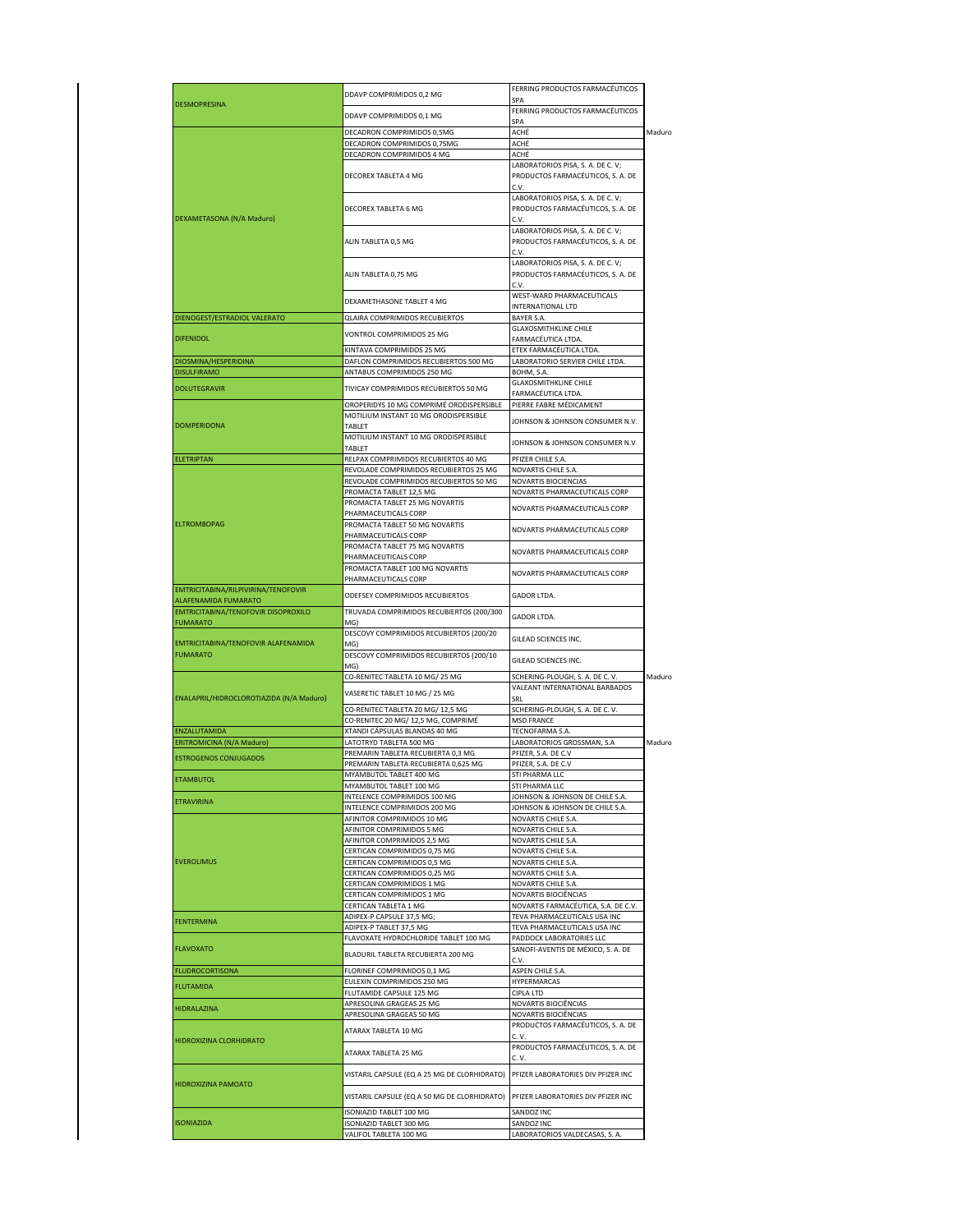| <b>DESMOPRESINA</b>                                         | DDAVP COMPRIMIDOS 0,2 MG                                                   | FERRING PRODUCTOS FARMACÉUTICOS<br><b>SPA</b>                       |        |
|-------------------------------------------------------------|----------------------------------------------------------------------------|---------------------------------------------------------------------|--------|
|                                                             | DDAVP COMPRIMIDOS 0,1 MG                                                   | FERRING PRODUCTOS FARMACÉUTICOS<br>SPA                              |        |
|                                                             |                                                                            |                                                                     |        |
|                                                             | DECADRON COMPRIMIDOS 0,5MG                                                 | ACHÉ                                                                | Maduro |
|                                                             | DECADRON COMPRIMIDOS 0,75MG                                                | ACHÉ                                                                |        |
|                                                             | DECADRON COMPRIMIDOS 4 MG                                                  | ACHÉ                                                                |        |
|                                                             |                                                                            | LABORATORIOS PISA, S. A. DE C. V;                                   |        |
|                                                             | DECOREX TABLETA 4 MG                                                       | PRODUCTOS FARMACÉUTICOS, S. A. DE<br>C.V.                           |        |
|                                                             |                                                                            | LABORATORIOS PISA, S. A. DE C. V;                                   |        |
|                                                             | DECOREX TABLETA 6 MG                                                       | PRODUCTOS FARMACÉUTICOS, S. A. DE                                   |        |
| DEXAMETASONA (N/A Maduro)                                   |                                                                            | C.V.                                                                |        |
|                                                             |                                                                            | LABORATORIOS PISA, S. A. DE C. V;                                   |        |
|                                                             | ALIN TABLETA 0,5 MG                                                        | PRODUCTOS FARMACÉUTICOS, S. A. DE                                   |        |
|                                                             |                                                                            | C.V.<br>LABORATORIOS PISA, S. A. DE C. V:                           |        |
|                                                             | ALIN TABLETA 0,75 MG                                                       | PRODUCTOS FARMACÉUTICOS, S. A. DE                                   |        |
|                                                             |                                                                            | C.V                                                                 |        |
|                                                             |                                                                            | WEST-WARD PHARMACEUTICALS                                           |        |
|                                                             | DEXAMETHASONE TABLET 4 MG                                                  | INTERNATIONAL LTD                                                   |        |
| DIENOGEST/ESTRADIOL VALERATO                                | QLAIRA COMPRIMIDOS RECUBIERTOS                                             | BAYER S.A.                                                          |        |
|                                                             | VONTROL COMPRIMIDOS 25 MG                                                  | <b>GLAXOSMITHKLINE CHILE</b>                                        |        |
| <b>DIFENIDOL</b>                                            |                                                                            | FARMACÉUTICA LTDA.                                                  |        |
|                                                             | KINTAVA COMPRIMIDOS 25 MG                                                  | ETEX FARMACÉUTICA LTDA                                              |        |
| DIOSMINA/HESPERIDINA                                        | DAFLON COMPRIMIDOS RECUBIERTOS 500 MG                                      | LABORATORIO SERVIER CHILE LTDA.                                     |        |
| <b>DISULFIRAMO</b>                                          | ANTABUS COMPRIMIDOS 250 MG                                                 | BOHM, S.A.                                                          |        |
| <b>DOLUTEGRAVIR</b>                                         | TIVICAY COMPRIMIDOS RECUBIERTOS 50 MG                                      | <b>GLAXOSMITHKLINE CHILE</b><br>FARMACÉUTICA LTDA.                  |        |
|                                                             | OROPERIDYS 10 MG COMPRIMÉ ORODISPERSIBLE                                   | PIERRE FABRE MÉDICAMENT                                             |        |
|                                                             | MOTILIUM INSTANT 10 MG ORODISPERSIBLE                                      |                                                                     |        |
| <b>DOMPERIDONA</b>                                          | TABLET                                                                     | JOHNSON & JOHNSON CONSUMER N.V.                                     |        |
|                                                             | MOTILIUM INSTANT 10 MG ORODISPERSIBLE                                      |                                                                     |        |
|                                                             | TABLET                                                                     | JOHNSON & JOHNSON CONSUMER N.V.                                     |        |
| <b>ELETRIPTAN</b>                                           | RELPAX COMPRIMIDOS RECUBIERTOS 40 MG                                       | PFIZER CHILE S.A.                                                   |        |
|                                                             | REVOLADE COMPRIMIDOS RECUBIERTOS 25 MG                                     | NOVARTIS CHILE S.A.                                                 |        |
|                                                             | REVOLADE COMPRIMIDOS RECUBIERTOS 50 MG                                     | NOVARTIS BIOCIENCIAS                                                |        |
|                                                             | PROMACTA TABLET 12,5 MG                                                    | NOVARTIS PHARMACEUTICALS CORP                                       |        |
|                                                             | PROMACTA TABLET 25 MG NOVARTIS<br>PHARMACEUTICALS CORP                     | NOVARTIS PHARMACEUTICALS CORP                                       |        |
| <b>ELTROMBOPAG</b>                                          | PROMACTA TABLET 50 MG NOVARTIS                                             |                                                                     |        |
|                                                             | PHARMACEUTICALS CORP                                                       | NOVARTIS PHARMACEUTICALS CORP                                       |        |
|                                                             | PROMACTA TABLET 75 MG NOVARTIS                                             | NOVARTIS PHARMACEUTICALS CORP                                       |        |
|                                                             | PHARMACEUTICALS CORP<br>PROMACTA TABLET 100 MG NOVARTIS                    |                                                                     |        |
|                                                             | PHARMACEUTICALS CORP                                                       | NOVARTIS PHARMACEUTICALS CORP                                       |        |
| EMTRICITABINA/RILPIVIRINA/TENOFOVIR<br>ALAFENAMIDA FUMARATO | ODEFSEY COMPRIMIDOS RECUBIERTOS                                            | <b>GADOR LTDA.</b>                                                  |        |
| EMTRICITABINA/TENOFOVIR DISOPROXILO                         | TRUVADA COMPRIMIDOS RECUBIERTOS (200/300                                   |                                                                     |        |
| <b>FUMARATO</b>                                             | MG)                                                                        | <b>GADOR LTDA.</b>                                                  |        |
|                                                             | DESCOVY COMPRIMIDOS RECUBIERTOS (200/20                                    | GILEAD SCIENCES INC.                                                |        |
| EMTRICITABINA/TENOFOVIR ALAFENAMIDA<br><b>FUMARATO</b>      | MG)<br>DESCOVY COMPRIMIDOS RECUBIERTOS (200/10                             |                                                                     |        |
|                                                             | MG)                                                                        | GILEAD SCIENCES INC.                                                |        |
|                                                             | CO-RENITEC TABLETA 10 MG/ 25 MG                                            | SCHERING-PLOUGH, S. A. DE C. V.                                     | Maduro |
|                                                             | VASERETIC TABLET 10 MG / 25 MG                                             | VALEANT INTERNATIONAL BARBADOS                                      |        |
| ENALAPRIL/HIDROCLOROTIAZIDA (N/A Maduro)                    |                                                                            | SRL                                                                 |        |
|                                                             | CO-RENITEC TABLETA 20 MG/ 12,5 MG                                          | SCHERING-PLOUGH, S. A. DE C. V.                                     |        |
|                                                             | CO-RENITEC 20 MG/ 12,5 MG, COMPRIMÉ                                        | <b>MSD FRANCE</b>                                                   |        |
| ENZALUTAMIDA                                                | XTANDI CÁPSULAS BLANDAS 40 MG<br>LATOTRYD TABLETA 500 MG                   | TECNOFARMA S.A.<br>LABORATORIOS GROSSMAN, S.A                       |        |
| ERITROMICINA (N/A Maduro)                                   |                                                                            |                                                                     | Maduro |
| <b>ESTROGENOS CONJUGADOS</b>                                | PREMARIN TABLETA RECUBIERTA 0,3 MG<br>PREMARIN TABLETA RECUBIERTA 0,625 MG | PFIZER, S.A. DE C.V<br>PFIZER, S.A. DE C.V                          |        |
|                                                             | MYAMBUTOL TABLET 400 MG                                                    | STI PHARMA LLC                                                      |        |
| <b>ETAMBLITOL</b>                                           | MYAMBUTOL TABLET 100 MG                                                    | STI PHARMA LLC                                                      |        |
|                                                             | INTELENCE COMPRIMIDOS 100 MG                                               | JOHNSON & JOHNSON DE CHILE S.A.                                     |        |
| <b>ETRAVIRINA</b>                                           | INTELENCE COMPRIMIDOS 200 MG                                               | JOHNSON & JOHNSON DE CHILE S.A.                                     |        |
|                                                             | AFINITOR COMPRIMIDOS 10 MG                                                 | NOVARTIS CHILE S.A.                                                 |        |
|                                                             | AFINITOR COMPRIMIDOS 5 MG                                                  | NOVARTIS CHILE S.A.                                                 |        |
|                                                             | AFINITOR COMPRIMIDOS 2,5 MG                                                | NOVARTIS CHILE S.A.                                                 |        |
|                                                             | CERTICAN COMPRIMIDOS 0,75 MG                                               | NOVARTIS CHILE S.A.                                                 |        |
| <b>EVEROLIMUS</b>                                           | CERTICAN COMPRIMIDOS 0,5 MG                                                | NOVARTIS CHILE S.A.                                                 |        |
|                                                             | CERTICAN COMPRIMIDOS 0,25 MG                                               | NOVARTIS CHILE S.A.                                                 |        |
|                                                             | CERTICAN COMPRIMIDOS 1 MG                                                  | NOVARTIS CHILE S.A.                                                 |        |
|                                                             | CERTICAN COMPRIMIDOS 1 MG<br>CERTICAN TABLETA 1 MG                         | NOVARTIS BIOCIÊNCIAS                                                |        |
|                                                             | ADIPEX-P CAPSULE 37,5 MG;                                                  | NOVARTIS FARMACÉUTICA, S.A. DE C.V.<br>TEVA PHARMACEUTICALS USA INC |        |
| <b>FENTERMINA</b>                                           | ADIPEX-P TABLET 37,5 MG                                                    | TEVA PHARMACEUTICALS USA INC                                        |        |
|                                                             | FLAVOXATE HYDROCHLORIDE TABLET 100 MG                                      | PADDOCK LABORATORIES LLC                                            |        |
| <b>FLAVOXATO</b>                                            |                                                                            | SANOFI-AVENTIS DE MÉXICO, S. A. DE                                  |        |
|                                                             | BLADURIL TABLETA RECUBIERTA 200 MG                                         | C.V.                                                                |        |
| <b>FLUDROCORTISONA</b>                                      | FLORINEF COMPRIMIDOS 0,1 MG                                                | ASPEN CHILE S.A                                                     |        |
| <b>FLUTAMIDA</b>                                            | EULEXIN COMPRIMIDOS 250 MG<br>FLUTAMIDE CAPSULE 125 MG                     | HYPERMARCAS<br>CIPLA LTD                                            |        |
|                                                             | APRESOLINA GRAGEAS 25 MG                                                   | NOVARTIS BIOCIÊNCIAS                                                |        |
| <b>HIDRALAZINA</b>                                          | APRESOLINA GRAGEAS 50 MG                                                   | NOVARTIS BIOCIÊNCIAS                                                |        |
|                                                             | ATARAX TABLETA 10 MG                                                       | PRODUCTOS FARMACÉUTICOS, S. A. DE                                   |        |
| <b>HIDROXIZINA CLORHIDRATO</b>                              |                                                                            | C.V.                                                                |        |
|                                                             | ATARAX TABLETA 25 MG                                                       | PRODUCTOS FARMACÉUTICOS, S. A. DE<br>C. V.                          |        |
|                                                             |                                                                            |                                                                     |        |
| <b>HIDROXIZINA PAMOATO</b>                                  | VISTARIL CAPSULE (EQ A 25 MG DE CLORHIDRATO)                               | PFIZER LABORATORIES DIV PFIZER INC                                  |        |
|                                                             | VISTARIL CAPSULE (EQ A 50 MG DE CLORHIDRATO)                               | PFIZER LABORATORIES DIV PFIZER INC                                  |        |
|                                                             | ISONIAZID TABLET 100 MG                                                    | SANDOZ INC                                                          |        |
| <b>ISONIAZIDA</b>                                           | ISONIAZID TABLET 300 MG                                                    | SANDOZ INC                                                          |        |
|                                                             |                                                                            |                                                                     |        |
|                                                             | VALIFOL TABLETA 100 MG                                                     | LABORATORIOS VALDECASAS, S. A.                                      |        |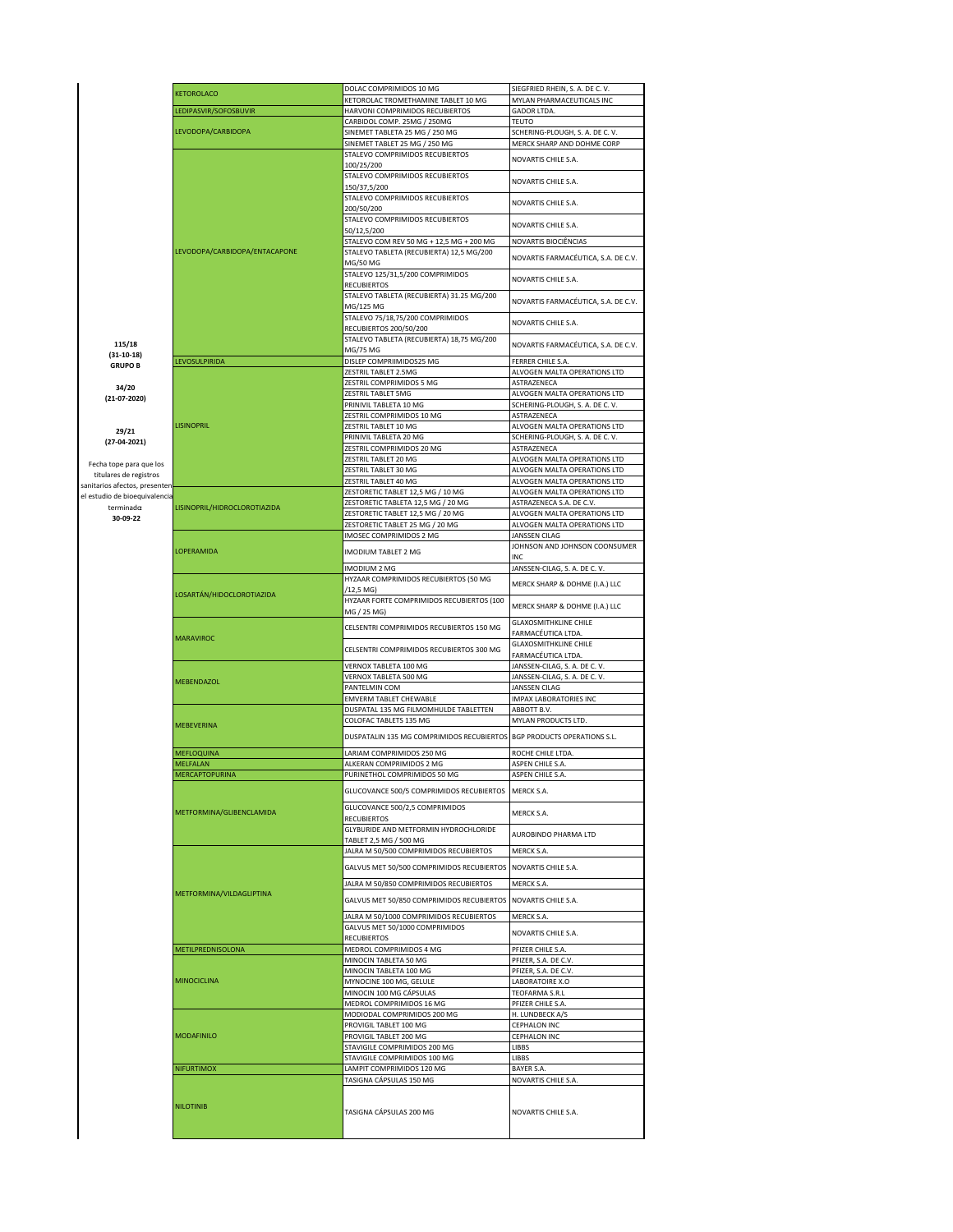|                               | <b>KETOROLACO</b>             | DOLAC COMPRIMIDOS 10 MG                                                | SIEGFRIED RHEIN, S. A. DE C. V.     |
|-------------------------------|-------------------------------|------------------------------------------------------------------------|-------------------------------------|
|                               |                               | KETOROLAC TROMETHAMINE TABLET 10 MG                                    | MYLAN PHARMACEUTICALS INC           |
|                               | LEDIPASVIR/SOFOSBUVIR         | HARVONI COMPRIMIDOS RECUBIERTOS                                        | <b>GADOR LTDA.</b>                  |
|                               |                               | CARBIDOL COMP. 25MG / 250MG                                            | <b>TEUTO</b>                        |
|                               | LEVODOPA/CARBIDOPA            | SINEMET TABLETA 25 MG / 250 MG                                         | SCHERING-PLOUGH, S. A. DE C. V.     |
|                               |                               | SINEMET TABLET 25 MG / 250 MG                                          | MERCK SHARP AND DOHME CORP          |
|                               |                               | STALEVO COMPRIMIDOS RECUBIERTOS                                        |                                     |
|                               |                               | 100/25/200                                                             | NOVARTIS CHILE S.A.                 |
|                               |                               | STALEVO COMPRIMIDOS RECUBIERTOS<br>150/37,5/200                        | NOVARTIS CHILE S.A.                 |
|                               |                               | STALEVO COMPRIMIDOS RECUBIERTOS<br>200/50/200                          | NOVARTIS CHILE S.A.                 |
|                               |                               | STALEVO COMPRIMIDOS RECUBIERTOS<br>50/12,5/200                         | NOVARTIS CHILE S.A.                 |
|                               |                               | STALEVO COM REV 50 MG + 12,5 MG + 200 MG                               | NOVARTIS BIOCIÊNCIAS                |
|                               | LEVODOPA/CARBIDOPA/ENTACAPONE | STALEVO TABLETA (RECUBIERTA) 12,5 MG/200                               | NOVARTIS FARMACÉUTICA, S.A. DE C.V. |
|                               |                               | MG/50 MG<br>STALEVO 125/31,5/200 COMPRIMIDOS                           | NOVARTIS CHILE S.A.                 |
|                               |                               | <b>RECUBIERTOS</b><br>STALEVO TABLETA (RECUBIERTA) 31.25 MG/200        | NOVARTIS FARMACÉUTICA, S.A. DE C.V. |
|                               |                               | MG/125 MG<br>STALEVO 75/18,75/200 COMPRIMIDOS                          | NOVARTIS CHILE S.A.                 |
| 115/18                        |                               | RECUBIERTOS 200/50/200<br>STALEVO TABLETA (RECUBIERTA) 18,75 MG/200    | NOVARTIS FARMACÉUTICA, S.A. DE C.V. |
| $(31-10-18)$                  |                               | MG/75 MG                                                               |                                     |
| <b>GRUPO B</b>                | LEVOSULPIRIDA                 | DISLEP COMPRIIMIDOS25 MG                                               | FERRER CHILE S.A.                   |
|                               |                               | ZESTRIL TABLET 2.5MG                                                   | ALVOGEN MALTA OPERATIONS LTD        |
|                               |                               | ZESTRIL COMPRIMIDOS 5 MG                                               | ASTRAZENECA                         |
| 34/20                         |                               |                                                                        |                                     |
| $(21-07-2020)$                |                               | ZESTRIL TABLET 5MG                                                     | ALVOGEN MALTA OPERATIONS LTD        |
|                               |                               | PRINIVIL TABLETA 10 MG                                                 | SCHERING-PLOUGH, S. A. DE C. V.     |
|                               |                               | ZESTRIL COMPRIMIDOS 10 MG                                              | ASTRAZENECA                         |
|                               | <b>LISINOPRIL</b>             | ZESTRIL TABLET 10 MG                                                   | ALVOGEN MALTA OPERATIONS LTD        |
| 29/21                         |                               | PRINIVIL TABLETA 20 MG                                                 | SCHERING-PLOUGH, S. A. DE C. V.     |
| $(27-04-2021)$                |                               | ZESTRIL COMPRIMIDOS 20 MG                                              | ASTRAZENECA                         |
|                               |                               |                                                                        |                                     |
| Fecha tope para que los       |                               | ZESTRIL TABLET 20 MG                                                   | ALVOGEN MALTA OPERATIONS LTD        |
| titulares de registros        |                               | ZESTRIL TABLET 30 MG                                                   | ALVOGEN MALTA OPERATIONS LTD        |
|                               |                               | ZESTRIL TABLET 40 MG                                                   | ALVOGEN MALTA OPERATIONS LTD        |
| sanitarios afectos, presenten |                               | ZESTORETIC TABLET 12,5 MG / 10 MG                                      | ALVOGEN MALTA OPERATIONS LTD        |
| el estudio de bioequivalencia |                               | ZESTORETIC TABLETA 12,5 MG / 20 MG                                     | ASTRAZENECA S.A. DE C.V.            |
| $terminad\alpha$              | LISINOPRIL/HIDROCLOROTIAZIDA  |                                                                        |                                     |
| 30-09-22                      |                               | ZESTORETIC TABLET 12,5 MG / 20 MG                                      | ALVOGEN MALTA OPERATIONS LTD        |
|                               |                               | ZESTORETIC TABLET 25 MG / 20 MG                                        | ALVOGEN MALTA OPERATIONS LTD        |
|                               |                               | IMOSEC COMPRIMIDOS 2 MG                                                | <b>JANSSEN CILAG</b>                |
|                               | LOPERAMIDA                    |                                                                        | JOHNSON AND JOHNSON COONSUMER       |
|                               |                               | IMODIUM TABLET 2 MG                                                    | IN <sub>C</sub>                     |
|                               |                               | IMODIUM 2 MG                                                           | JANSSEN-CILAG, S. A. DE C. V.       |
|                               |                               | HYZAAR COMPRIMIDOS RECUBIERTOS (50 MG                                  |                                     |
|                               |                               |                                                                        | MERCK SHARP & DOHME (I.A.) LLC      |
|                               | LOSARTÁN/HIDOCLOROTIAZIDA     | /12,5 MG)                                                              |                                     |
|                               |                               | HYZAAR FORTE COMPRIMIDOS RECUBIERTOS (100                              | MERCK SHARP & DOHME (I.A.) LLC      |
|                               |                               | MG / 25 MG)                                                            |                                     |
|                               |                               |                                                                        | <b>GLAXOSMITHKLINE CHILE</b>        |
|                               |                               | CELSENTRI COMPRIMIDOS RECUBIERTOS 150 MG                               | FARMACÉUTICA LTDA.                  |
|                               | <b>MARAVIROC</b>              |                                                                        | <b>GLAXOSMITHKLINE CHILE</b>        |
|                               |                               | CELSENTRI COMPRIMIDOS RECUBIERTOS 300 MG                               | FARMACÉUTICA LTDA.                  |
|                               |                               |                                                                        |                                     |
|                               |                               | VERNOX TABLETA 100 MG                                                  | JANSSEN-CILAG, S. A. DE C. V.       |
|                               | MEBENDAZOL                    | VERNOX TABLETA 500 MG                                                  | JANSSEN-CILAG, S. A. DE C. V.       |
|                               |                               | PANTELMIN COM                                                          | JANSSEN CILAG                       |
|                               |                               | <b>EMVERM TABLET CHEWABLE</b>                                          | IMPAX LABORATORIES INC              |
|                               |                               |                                                                        |                                     |
|                               |                               |                                                                        |                                     |
|                               |                               | DUSPATAL 135 MG FILMOMHULDE TABLETTEN                                  | ABBOTT B.V.                         |
|                               | <b>MEBEVERINA</b>             | COLOFAC TABLETS 135 MG                                                 | MYLAN PRODUCTS LTD.                 |
|                               |                               | DUSPATALIN 135 MG COMPRIMIDOS RECUBIERTOS BGP PRODUCTS OPERATIONS S.L. |                                     |
|                               |                               |                                                                        |                                     |
|                               | MEFLOQUINA                    | LARIAM COMPRIMIDOS 250 MG                                              | ROCHE CHILE LTDA.                   |
|                               | <b>MELFALAN</b>               | ALKERAN COMPRIMIDOS 2 MG                                               | ASPEN CHILE S.A.                    |
|                               |                               |                                                                        |                                     |
|                               | MERCAPTOPURINA                | PURINETHOL COMPRIMIDOS 50 MG                                           | ASPEN CHILE S.A.                    |
|                               |                               | GLUCOVANCE 500/5 COMPRIMIDOS RECUBIERTOS MERCK S.A.                    |                                     |
|                               | METFORMINA/GLIBENCLAMIDA      | GLUCOVANCE 500/2,5 COMPRIMIDOS<br><b>RECUBIERTOS</b>                   | MERCK S.A.                          |
|                               |                               | GLYBURIDE AND METFORMIN HYDROCHLORIDE<br>TABLET 2,5 MG / 500 MG        | AUROBINDO PHARMA LTD                |
|                               |                               | JALRA M 50/500 COMPRIMIDOS RECUBIERTOS                                 | MERCK S.A.                          |
|                               |                               |                                                                        |                                     |
|                               |                               | GALVUS MET 50/500 COMPRIMIDOS RECUBIERTOS NOVARTIS CHILE S.A.          |                                     |
|                               |                               | JALRA M 50/850 COMPRIMIDOS RECUBIERTOS                                 | MERCK S.A.                          |
|                               | METFORMINA/VILDAGLIPTINA      |                                                                        |                                     |
|                               |                               | GALVUS MET 50/850 COMPRIMIDOS RECUBIERTOS NOVARTIS CHILE S.A.          |                                     |
|                               |                               | JALRA M 50/1000 COMPRIMIDOS RECUBIERTOS                                | MERCK S.A.                          |
|                               |                               | GALVUS MET 50/1000 COMPRIMIDOS                                         | NOVARTIS CHILE S.A.                 |
|                               |                               | <b>RECUBIERTOS</b>                                                     |                                     |
|                               | METILPREDNISOLONA             | MEDROL COMPRIMIDOS 4 MG                                                | PFIZER CHILE S.A.                   |
|                               |                               | MINOCIN TABLETA 50 MG                                                  | PFIZER, S.A. DE C.V.                |
|                               |                               | MINOCIN TABLETA 100 MG                                                 | PFIZER, S.A. DE C.V.                |
|                               | <b>MINOCICLINA</b>            |                                                                        |                                     |
|                               |                               | MYNOCINE 100 MG, GELULE                                                | LABORATOIRE X.O                     |
|                               |                               | MINOCIN 100 MG CÁPSULAS                                                | TEOFARMA S.R.L                      |
|                               |                               | MEDROL COMPRIMIDOS 16 MG                                               | PFIZER CHILE S.A.                   |
|                               |                               | MODIODAL COMPRIMIDOS 200 MG                                            | H. LUNDBECK A/S                     |
|                               |                               | PROVIGIL TABLET 100 MG                                                 | <b>CEPHALON INC</b>                 |
|                               | <b>MODAFINILO</b>             | PROVIGIL TABLET 200 MG                                                 | CEPHALON INC                        |
|                               |                               |                                                                        |                                     |
|                               |                               | STAVIGILE COMPRIMIDOS 200 MG                                           | LIBBS                               |
|                               |                               | STAVIGILE COMPRIMIDOS 100 MG                                           | <b>LIBBS</b>                        |
|                               | <b>NIFURTIMOX</b>             | LAMPIT COMPRIMIDOS 120 MG                                              | BAYER S.A.                          |
|                               |                               | TASIGNA CÁPSULAS 150 MG                                                | NOVARTIS CHILE S.A.                 |
|                               |                               |                                                                        |                                     |
|                               | <b>NILOTINIB</b>              | TASIGNA CÁPSULAS 200 MG                                                | NOVARTIS CHILE S.A.                 |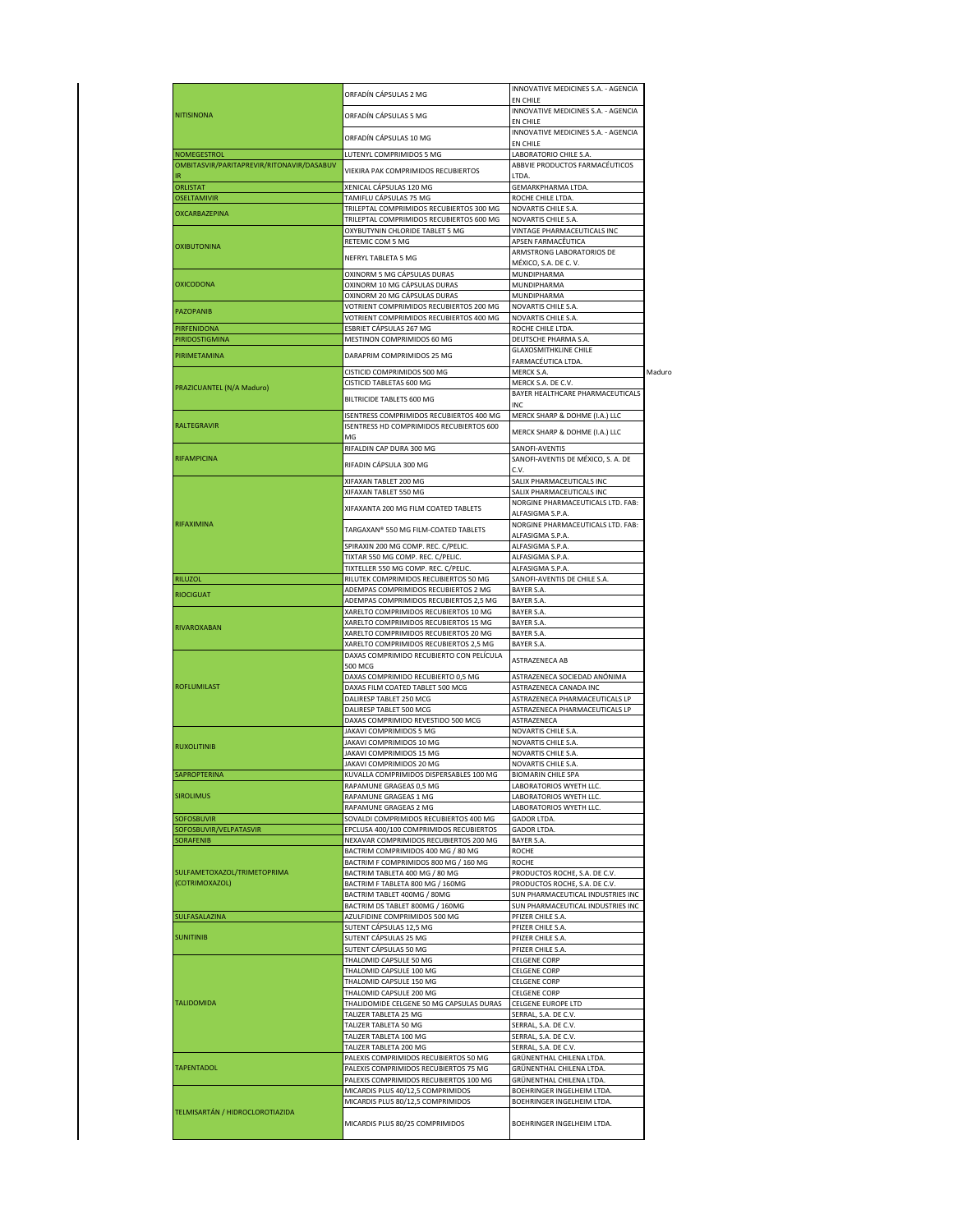|                                                                 | ORFADÍN CÁPSULAS 2 MG                                                                | INNOVATIVE MEDICINES S.A. - AGENCIA<br>EN CHILE                  |        |
|-----------------------------------------------------------------|--------------------------------------------------------------------------------------|------------------------------------------------------------------|--------|
| <b>NITISINONA</b>                                               | ORFADÍN CÁPSULAS 5 MG                                                                | INNOVATIVE MEDICINES S.A. - AGENCIA                              |        |
|                                                                 |                                                                                      | EN CHILE<br>INNOVATIVE MEDICINES S.A. - AGENCIA                  |        |
|                                                                 | ORFADÍN CÁPSULAS 10 MG                                                               | EN CHILE                                                         |        |
| <b>NOMEGESTROL</b><br>OMBITASVIR/PARITAPREVIR/RITONAVIR/DASABUV | LUTENYL COMPRIMIDOS 5 MG                                                             | LABORATORIO CHILE S.A.<br>ABBVIE PRODUCTOS FARMACÉUTICOS         |        |
| <b>IR</b>                                                       | VIEKIRA PAK COMPRIMIDOS RECUBIERTOS                                                  | LTDA.                                                            |        |
| ORLISTAT<br><b>OSELTAMIVIR</b>                                  | XENICAL CÁPSULAS 120 MG<br>TAMIFLU CÁPSULAS 75 MG                                    | GEMARKPHARMA LTDA.<br>ROCHE CHILE LTDA.                          |        |
| <b>OXCARBAZEPINA</b>                                            | TRILEPTAL COMPRIMIDOS RECUBIERTOS 300 MG                                             | NOVARTIS CHILE S.A.                                              |        |
|                                                                 | TRILEPTAL COMPRIMIDOS RECUBIERTOS 600 MG                                             | NOVARTIS CHILE S.A                                               |        |
|                                                                 | OXYBUTYNIN CHLORIDE TABLET 5 MG<br>RETEMIC COM 5 MG                                  | VINTAGE PHARMACEUTICALS INC<br>APSEN FARMACÊUTICA                |        |
| <b>OXIBUTONINA</b>                                              | NEFRYL TABLETA 5 MG                                                                  | ARMSTRONG LABORATORIOS DE                                        |        |
|                                                                 | OXINORM 5 MG CÁPSULAS DURAS                                                          | MÉXICO, S.A. DE C. V.<br>MUNDIPHARMA                             |        |
| <b>OXICODONA</b>                                                | OXINORM 10 MG CÁPSULAS DURAS                                                         | <b>MUNDIPHARMA</b>                                               |        |
|                                                                 | OXINORM 20 MG CÁPSULAS DURAS                                                         | MUNDIPHARMA<br>NOVARTIS CHILE S.A.                               |        |
| <b>PAZOPANIB</b>                                                | VOTRIENT COMPRIMIDOS RECUBIERTOS 200 MG<br>VOTRIENT COMPRIMIDOS RECUBIERTOS 400 MG   | NOVARTIS CHILE S.A                                               |        |
| <b>PIRFENIDONA</b>                                              | ESBRIET CÁPSULAS 267 MG                                                              | ROCHE CHILE LTDA.                                                |        |
| PIRIDOSTIGMINA                                                  | MESTINON COMPRIMIDOS 60 MG                                                           | DEUTSCHE PHARMA S.A.<br><b>GLAXOSMITHKLINE CHILE</b>             |        |
| PIRIMETAMINA                                                    | DARAPRIM COMPRIMIDOS 25 MG                                                           | FARMACÉUTICA LTDA.                                               |        |
|                                                                 | CISTICID COMPRIMIDOS 500 MG                                                          | MERCK S.A.                                                       | Maduro |
| PRAZICUANTEL (N/A Maduro)                                       | CISTICID TABLETAS 600 MG                                                             | MERCK S.A. DE C.V.<br>BAYER HEALTHCARE PHARMACEUTICALS           |        |
|                                                                 | BILTRICIDE TABLETS 600 MG                                                            | INC                                                              |        |
| <b>RALTEGRAVIR</b>                                              | ISENTRESS COMPRIMIDOS RECUBIERTOS 400 MG<br>ISENTRESS HD COMPRIMIDOS RECUBIERTOS 600 | MERCK SHARP & DOHME (I.A.) LLC                                   |        |
|                                                                 | MG                                                                                   | MERCK SHARP & DOHME (I.A.) LLC                                   |        |
|                                                                 | RIFALDIN CAP DURA 300 MG                                                             | SANOFI-AVENTIS                                                   |        |
| <b>RIFAMPICINA</b>                                              | RIFADIN CÁPSULA 300 MG                                                               | SANOFI-AVENTIS DE MÉXICO, S. A. DE<br>C.V.                       |        |
|                                                                 | XIFAXAN TABLET 200 MG                                                                | SALIX PHARMACEUTICALS INC                                        |        |
|                                                                 | XIFAXAN TABLET 550 MG                                                                | SALIX PHARMACEUTICALS INC                                        |        |
|                                                                 | XIFAXANTA 200 MG FILM COATED TABLETS                                                 | NORGINE PHARMACEUTICALS LTD. FAB:<br>ALFASIGMA S.P.A.            |        |
| RIFAXIMINA                                                      | TARGAXAN® 550 MG FILM-COATED TABLETS                                                 | NORGINE PHARMACEUTICALS LTD. FAB:                                |        |
|                                                                 | SPIRAXIN 200 MG COMP. REC. C/PELIC.                                                  | ALFASIGMA S.P.A.<br>ALFASIGMA S.P.A.                             |        |
|                                                                 | TIXTAR 550 MG COMP. REC. C/PELIC.                                                    | ALFASIGMA S.P.A.                                                 |        |
|                                                                 | TIXTELLER 550 MG COMP. REC. C/PELIC.                                                 | ALFASIGMA S.P.A.                                                 |        |
| <b>RILUZOL</b>                                                  | RILUTEK COMPRIMIDOS RECUBIERTOS 50 MG<br>ADEMPAS COMPRIMIDOS RECUBIERTOS 2 MG        | SANOFI-AVENTIS DE CHILE S.A.<br>BAYER S.A.                       |        |
| <b>RIOCIGUAT</b>                                                | ADEMPAS COMPRIMIDOS RECUBIERTOS 2,5 MG                                               | BAYER S.A.                                                       |        |
|                                                                 | XARELTO COMPRIMIDOS RECUBIERTOS 10 MG                                                | BAYER S.A.                                                       |        |
|                                                                 |                                                                                      |                                                                  |        |
| <b>RIVAROXABAN</b>                                              | XARELTO COMPRIMIDOS RECUBIERTOS 15 MG<br>XARELTO COMPRIMIDOS RECUBIERTOS 20 MG       | BAYER S.A.<br>BAYER S.A.                                         |        |
|                                                                 | XARELTO COMPRIMIDOS RECUBIERTOS 2,5 MG                                               | BAYER S.A.                                                       |        |
|                                                                 | DAXAS COMPRIMIDO RECUBIERTO CON PELÍCULA<br>500 MCG                                  | ASTRAZENECA AB                                                   |        |
|                                                                 | DAXAS COMPRIMIDO RECUBIERTO 0,5 MG                                                   | ASTRAZENECA SOCIEDAD ANÓNIMA                                     |        |
| <b>ROFLUMILAST</b>                                              | DAXAS FILM COATED TABLET 500 MCG                                                     | ASTRAZENECA CANADA INC                                           |        |
|                                                                 | DALIRESP TABLET 250 MCG<br>DALIRESP TABLET 500 MCG                                   | ASTRAZENECA PHARMACEUTICALS LP<br>ASTRAZENECA PHARMACEUTICALS LP |        |
|                                                                 | DAXAS COMPRIMIDO REVESTIDO 500 MCG                                                   | ASTRAZENECA                                                      |        |
|                                                                 | JAKAVI COMPRIMIDOS 5 MG<br>JAKAVI COMPRIMIDOS 10 MG                                  | NOVARTIS CHILE S.A.<br><b>NOVARTIS CHILE S.A</b>                 |        |
| <b>RUXOLITINIB</b>                                              | JAKAVI COMPRIMIDOS 15 MG                                                             | NOVARTIS CHILE S.A.                                              |        |
| SAPROPTERINA                                                    | JAKAVI COMPRIMIDOS 20 MG<br>KUVALLA COMPRIMIDOS DISPERSABLES 100 MG                  | NOVARTIS CHILE S.A.<br><b>BIOMARIN CHILE SPA</b>                 |        |
|                                                                 | RAPAMUNE GRAGEAS 0,5 MG                                                              | LABORATORIOS WYETH LLC.                                          |        |
| <b>SIROLIMUS</b>                                                | RAPAMUNE GRAGEAS 1 MG<br>RAPAMUNE GRAGEAS 2 MG                                       | LABORATORIOS WYETH LLC.<br>LABORATORIOS WYETH LLC.               |        |
| <b>SOFOSBUVIR</b>                                               | SOVALDI COMPRIMIDOS RECUBIERTOS 400 MG                                               | <b>GADOR LTDA</b>                                                |        |
| SOFOSBUVIR/VELPATASVIR                                          | EPCLUSA 400/100 COMPRIMIDOS RECUBIERTOS                                              | GADOR LTDA.                                                      |        |
| <b>SORAFENIB</b>                                                | NEXAVAR COMPRIMIDOS RECUBIERTOS 200 MG<br>BACTRIM COMPRIMIDOS 400 MG / 80 MG         | BAYER S.A.<br><b>ROCHE</b>                                       |        |
|                                                                 | BACTRIM F COMPRIMIDOS 800 MG / 160 MG                                                | <b>ROCHE</b>                                                     |        |
| SULFAMETOXAZOL/TRIMETOPRIMA<br>(COTRIMOXAZOL)                   | BACTRIM TABLETA 400 MG / 80 MG<br>BACTRIM F TABLETA 800 MG / 160MG                   | PRODUCTOS ROCHE, S.A. DE C.V.<br>PRODUCTOS ROCHE, S.A. DE C.V.   |        |
|                                                                 | BACTRIM TABLET 400MG / 80MG                                                          | SUN PHARMACEUTICAL INDUSTRIES INC                                |        |
|                                                                 | BACTRIM DS TABLET 800MG / 160MG                                                      | SUN PHARMACEUTICAL INDUSTRIES INC                                |        |
| SULFASALAZINA                                                   | AZULFIDINE COMPRIMIDOS 500 MG<br>SUTENT CÁPSULAS 12,5 MG                             | PFIZER CHILE S.A.<br>PFIZER CHILE S.A.                           |        |
| <b>SUNITINIB</b>                                                | SUTENT CÁPSULAS 25 MG                                                                | PFIZER CHILE S.A.                                                |        |
|                                                                 | SUTENT CÁPSULAS 50 MG<br>THALOMID CAPSULE 50 MG                                      | PFIZER CHILE S.A.<br><b>CELGENE CORP</b>                         |        |
|                                                                 | THALOMID CAPSULE 100 MG                                                              | CELGENE CORP                                                     |        |
|                                                                 | THALOMID CAPSULE 150 MG                                                              | <b>CELGENE CORP</b>                                              |        |
| <b>TALIDOMIDA</b>                                               | THALOMID CAPSULE 200 MG<br>THALIDOMIDE CELGENE 50 MG CAPSULAS DURAS                  | <b>CELGENE CORP</b><br>CELGENE EUROPE LTD                        |        |
|                                                                 | TALIZER TABLETA 25 MG                                                                | SERRAL, S.A. DE C.V.                                             |        |
|                                                                 | TALIZER TABLETA 50 MG                                                                | SERRAL, S.A. DE C.V.                                             |        |
|                                                                 | TALIZER TABLETA 100 MG<br>TALIZER TABLETA 200 MG                                     | SERRAL, S.A. DE C.V.<br>SERRAL, S.A. DE C.V.                     |        |
|                                                                 | PALEXIS COMPRIMIDOS RECUBIERTOS 50 MG                                                | GRÜNENTHAL CHILENA LTDA.                                         |        |
| <b>TAPENTADOL</b>                                               | PALEXIS COMPRIMIDOS RECUBIERTOS 75 MG<br>PALEXIS COMPRIMIDOS RECUBIERTOS 100 MG      | GRÜNENTHAL CHILENA LTDA.<br>GRÜNENTHAL CHILENA LTDA.             |        |
|                                                                 | MICARDIS PLUS 40/12,5 COMPRIMIDOS                                                    | BOEHRINGER INGELHEIM LTDA.                                       |        |
| TELMISARTÁN / HIDROCLOROTIAZIDA                                 | MICARDIS PLUS 80/12,5 COMPRIMIDOS                                                    | BOEHRINGER INGELHEIM LTDA.                                       |        |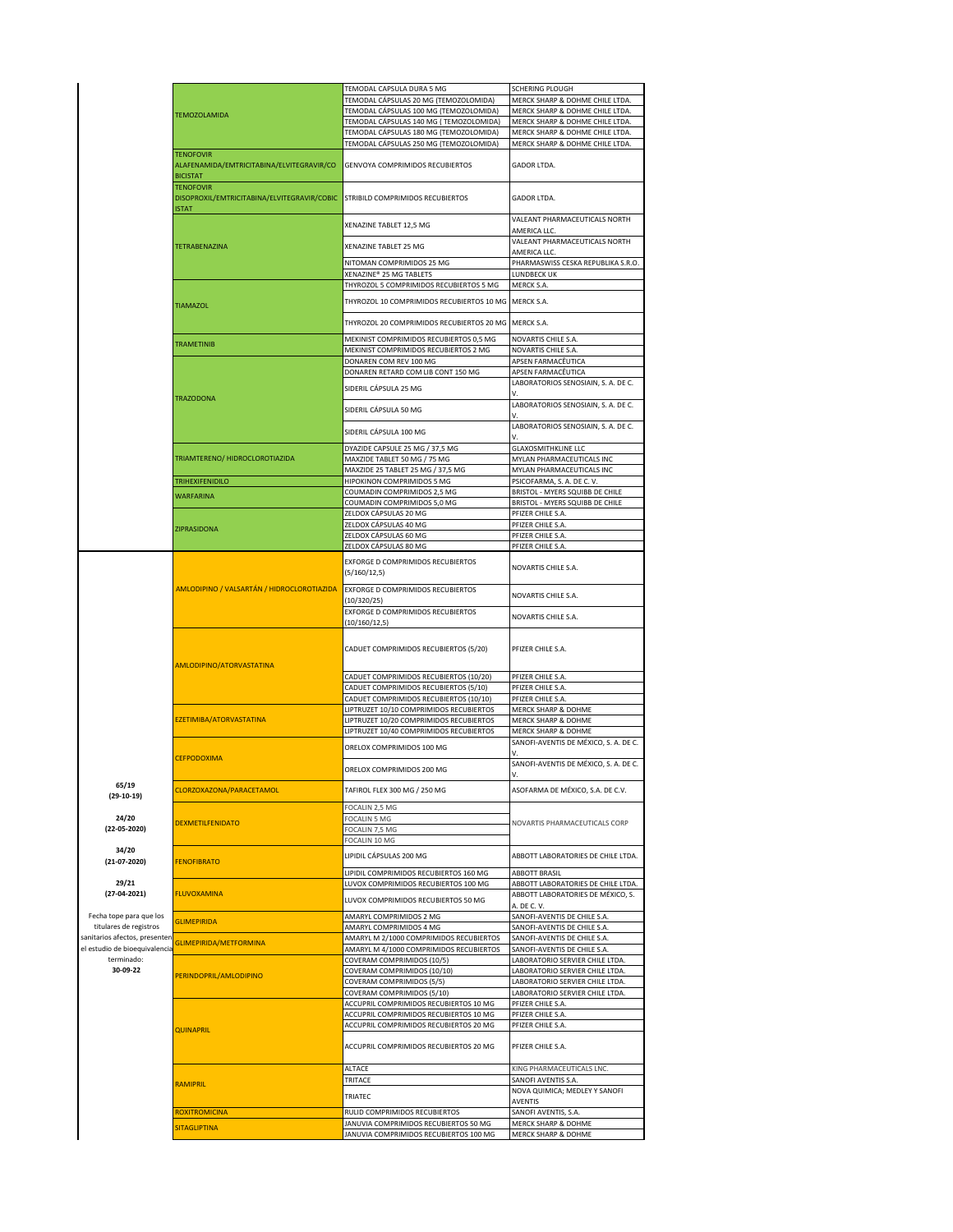| TEMODAL CAPSULA DURA 5 MG                                                   |                                                                                                                                                                                                                                                                                                                                                                              |
|-----------------------------------------------------------------------------|------------------------------------------------------------------------------------------------------------------------------------------------------------------------------------------------------------------------------------------------------------------------------------------------------------------------------------------------------------------------------|
|                                                                             | SCHERING PLOUGH                                                                                                                                                                                                                                                                                                                                                              |
| TEMODAL CÁPSULAS 20 MG (TEMOZOLOMIDA)                                       | MERCK SHARP & DOHME CHILE LTDA.                                                                                                                                                                                                                                                                                                                                              |
| TEMODAL CÁPSULAS 100 MG (TEMOZOLOMIDA)                                      | MERCK SHARP & DOHME CHILE LTDA                                                                                                                                                                                                                                                                                                                                               |
| TEMODAL CÁPSULAS 140 MG (TEMOZOLOMIDA)                                      | MERCK SHARP & DOHME CHILE LTDA.                                                                                                                                                                                                                                                                                                                                              |
|                                                                             |                                                                                                                                                                                                                                                                                                                                                                              |
|                                                                             | MERCK SHARP & DOHME CHILE LTDA.                                                                                                                                                                                                                                                                                                                                              |
|                                                                             | MERCK SHARP & DOHME CHILE LTDA                                                                                                                                                                                                                                                                                                                                               |
| GENVOYA COMPRIMIDOS RECUBIERTOS                                             | <b>GADOR LTDA.</b>                                                                                                                                                                                                                                                                                                                                                           |
| STRIBILD COMPRIMIDOS RECUBIERTOS                                            | <b>GADOR LTDA.</b>                                                                                                                                                                                                                                                                                                                                                           |
|                                                                             | VALEANT PHARMACEUTICALS NORTH<br>AMERICA LLC.                                                                                                                                                                                                                                                                                                                                |
|                                                                             | VALEANT PHARMACEUTICALS NORTH<br>AMERICA LLC.                                                                                                                                                                                                                                                                                                                                |
| NITOMAN COMPRIMIDOS 25 MG                                                   | PHARMASWISS CESKA REPUBLIKA S.R.O.<br>LUNDBECK UK                                                                                                                                                                                                                                                                                                                            |
| THYROZOL 10 COMPRIMIDOS RECUBIERTOS 10 MG                                   | MERCK S.A.<br>MERCK S.A.                                                                                                                                                                                                                                                                                                                                                     |
| THYROZOL 20 COMPRIMIDOS RECUBIERTOS 20 MG MERCK S.A.                        |                                                                                                                                                                                                                                                                                                                                                                              |
| MEKINIST COMPRIMIDOS RECUBIERTOS 2 MG                                       | <b>NOVARTIS CHILE S.A</b><br>NOVARTIS CHILE S.A.<br>APSEN FARMACÊUTICA                                                                                                                                                                                                                                                                                                       |
| DONAREN RETARD COM LIB CONT 150 MG                                          | APSEN FARMACÊUTICA<br>LABORATORIOS SENOSIAIN, S. A. DE C.                                                                                                                                                                                                                                                                                                                    |
|                                                                             | LABORATORIOS SENOSIAIN, S. A. DE C.                                                                                                                                                                                                                                                                                                                                          |
|                                                                             | LABORATORIOS SENOSIAIN, S. A. DE C.                                                                                                                                                                                                                                                                                                                                          |
| DYAZIDE CAPSULE 25 MG / 37,5 MG                                             | <b>GLAXOSMITHKLINE LLC</b><br>MYLAN PHARMACEUTICALS INC                                                                                                                                                                                                                                                                                                                      |
|                                                                             | MYLAN PHARMACEUTICALS INC                                                                                                                                                                                                                                                                                                                                                    |
|                                                                             | PSICOFARMA, S. A. DE C. V.                                                                                                                                                                                                                                                                                                                                                   |
|                                                                             |                                                                                                                                                                                                                                                                                                                                                                              |
|                                                                             | BRISTOL - MYERS SQUIBB DE CHILE                                                                                                                                                                                                                                                                                                                                              |
|                                                                             | BRISTOL - MYERS SQUIBB DE CHILE                                                                                                                                                                                                                                                                                                                                              |
|                                                                             | PFIZER CHILE S.A.                                                                                                                                                                                                                                                                                                                                                            |
|                                                                             | PFIZER CHILE S.A.                                                                                                                                                                                                                                                                                                                                                            |
|                                                                             | PFIZER CHILE S.A                                                                                                                                                                                                                                                                                                                                                             |
|                                                                             | PFIZER CHILE S.A.                                                                                                                                                                                                                                                                                                                                                            |
| EXFORGE D COMPRIMIDOS RECUBIERTOS                                           | NOVARTIS CHILE S.A.                                                                                                                                                                                                                                                                                                                                                          |
| EXFORGE D COMPRIMIDOS RECUBIERTOS                                           | NOVARTIS CHILE S.A.                                                                                                                                                                                                                                                                                                                                                          |
|                                                                             | NOVARTIS CHILE S.A.                                                                                                                                                                                                                                                                                                                                                          |
|                                                                             |                                                                                                                                                                                                                                                                                                                                                                              |
| CADUET COMPRIMIDOS RECUBIERTOS (5/20)                                       | PFIZER CHILE S.A.                                                                                                                                                                                                                                                                                                                                                            |
| CADUET COMPRIMIDOS RECUBIERTOS (10/20)                                      | PFIZER CHILE S.A.                                                                                                                                                                                                                                                                                                                                                            |
| CADUET COMPRIMIDOS RECUBIERTOS (5/10)                                       | PFIZER CHILE S.A.                                                                                                                                                                                                                                                                                                                                                            |
| CADUET COMPRIMIDOS RECUBIERTOS (10/10)                                      | PFIZER CHILE S.A                                                                                                                                                                                                                                                                                                                                                             |
| LIPTRUZET 10/10 COMPRIMIDOS RECUBIERTOS                                     | MERCK SHARP & DOHME                                                                                                                                                                                                                                                                                                                                                          |
| LIPTRUZET 10/20 COMPRIMIDOS RECUBIERTOS                                     | MERCK SHARP & DOHME                                                                                                                                                                                                                                                                                                                                                          |
| LIPTRUZET 10/40 COMPRIMIDOS RECUBIERTOS                                     |                                                                                                                                                                                                                                                                                                                                                                              |
|                                                                             | MERCK SHARP & DOHME<br>SANOFI-AVENTIS DE MÉXICO, S. A. DE C.                                                                                                                                                                                                                                                                                                                 |
| ORELOX COMPRIMIDOS 100 MG<br>ORELOX COMPRIMIDOS 200 MG                      | SANOFI-AVENTIS DE MÉXICO, S. A. DE C.                                                                                                                                                                                                                                                                                                                                        |
| TAFIROL FLEX 300 MG / 250 MG                                                | ٧.<br>ASOFARMA DE MÉXICO, S.A. DE C.V.                                                                                                                                                                                                                                                                                                                                       |
|                                                                             |                                                                                                                                                                                                                                                                                                                                                                              |
|                                                                             | NOVARTIS PHARMACEUTICALS CORP                                                                                                                                                                                                                                                                                                                                                |
|                                                                             |                                                                                                                                                                                                                                                                                                                                                                              |
| LIPIDIL COMPRIMIDOS RECUBIERTOS 160 MG                                      | ABBOTT LABORATORIES DE CHILE LTDA.<br><b>ABBOTT BRASIL</b>                                                                                                                                                                                                                                                                                                                   |
| LUVOX COMPRIMIDOS RECUBIERTOS 100 MG<br>LUVOX COMPRIMIDOS RECUBIERTOS 50 MG | ABBOTT LABORATORIES DE CHILE LTDA.<br>ABBOTT LABORATORIES DE MÉXICO, S.                                                                                                                                                                                                                                                                                                      |
| AMARYL COMPRIMIDOS 2 MG                                                     | A. DE C. V.<br>SANOFI-AVENTIS DE CHILE S.A.                                                                                                                                                                                                                                                                                                                                  |
| AMARYL COMPRIMIDOS 4 MG                                                     | SANOFI-AVENTIS DE CHILE S.A                                                                                                                                                                                                                                                                                                                                                  |
| AMARYL M 2/1000 COMPRIMIDOS RECUBIERTOS                                     | SANOFI-AVENTIS DE CHILE S.A.                                                                                                                                                                                                                                                                                                                                                 |
| AMARYL M 4/1000 COMPRIMIDOS RECUBIERTOS                                     | SANOFI-AVENTIS DE CHILE S.A.                                                                                                                                                                                                                                                                                                                                                 |
| COVERAM COMPRIMIDOS (10/5)                                                  | LABORATORIO SERVIER CHILE LTDA                                                                                                                                                                                                                                                                                                                                               |
| COVERAM COMPRIMIDOS (10/10)                                                 | LABORATORIO SERVIER CHILE LTDA.                                                                                                                                                                                                                                                                                                                                              |
| COVERAM COMPRIMIDOS (5/5)                                                   | LABORATORIO SERVIER CHILE LTDA.                                                                                                                                                                                                                                                                                                                                              |
| COVERAM COMPRIMIDOS (5/10)                                                  | LABORATORIO SERVIER CHILE LTDA                                                                                                                                                                                                                                                                                                                                               |
| ACCUPRIL COMPRIMIDOS RECUBIERTOS 10 MG                                      | PFIZER CHILE S.A.                                                                                                                                                                                                                                                                                                                                                            |
| ACCUPRIL COMPRIMIDOS RECUBIERTOS 10 MG                                      | PFIZER CHILE S.A.                                                                                                                                                                                                                                                                                                                                                            |
| ACCUPRIL COMPRIMIDOS RECUBIERTOS 20 MG                                      | PFIZER CHILE S.A.                                                                                                                                                                                                                                                                                                                                                            |
| ACCUPRIL COMPRIMIDOS RECUBIERTOS 20 MG                                      | PFIZER CHILE S.A.                                                                                                                                                                                                                                                                                                                                                            |
|                                                                             | KING PHARMACEUTICALS LNC.                                                                                                                                                                                                                                                                                                                                                    |
|                                                                             | SANOFI AVENTIS S.A.                                                                                                                                                                                                                                                                                                                                                          |
|                                                                             | NOVA QUIMICA; MEDLEY Y SANOFI                                                                                                                                                                                                                                                                                                                                                |
|                                                                             | AVENTIS                                                                                                                                                                                                                                                                                                                                                                      |
| RULID COMPRIMIDOS RECUBIERTOS                                               | SANOFI AVENTIS, S.A.                                                                                                                                                                                                                                                                                                                                                         |
| JANUVIA COMPRIMIDOS RECUBIERTOS 50 MG                                       | MERCK SHARP & DOHME                                                                                                                                                                                                                                                                                                                                                          |
| DONAREN COM REV 100 MG                                                      | TEMODAL CÁPSULAS 180 MG (TEMOZOLOMIDA)<br>TEMODAL CÁPSULAS 250 MG (TEMOZOLOMIDA)<br>THYROZOL 5 COMPRIMIDOS RECUBIERTOS 5 MG<br>MEKINIST COMPRIMIDOS RECUBIERTOS 0,5 MG<br>MAXZIDE TABLET 50 MG / 75 MG<br>MAXZIDE 25 TABLET 25 MG / 37,5 MG<br>HIPOKINON COMPRIMIDOS 5 MG<br>COUMADIN COMPRIMIDOS 2,5 MG<br>COUMADIN COMPRIMIDOS 5,0 MG<br>EXFORGE D COMPRIMIDOS RECUBIERTOS |